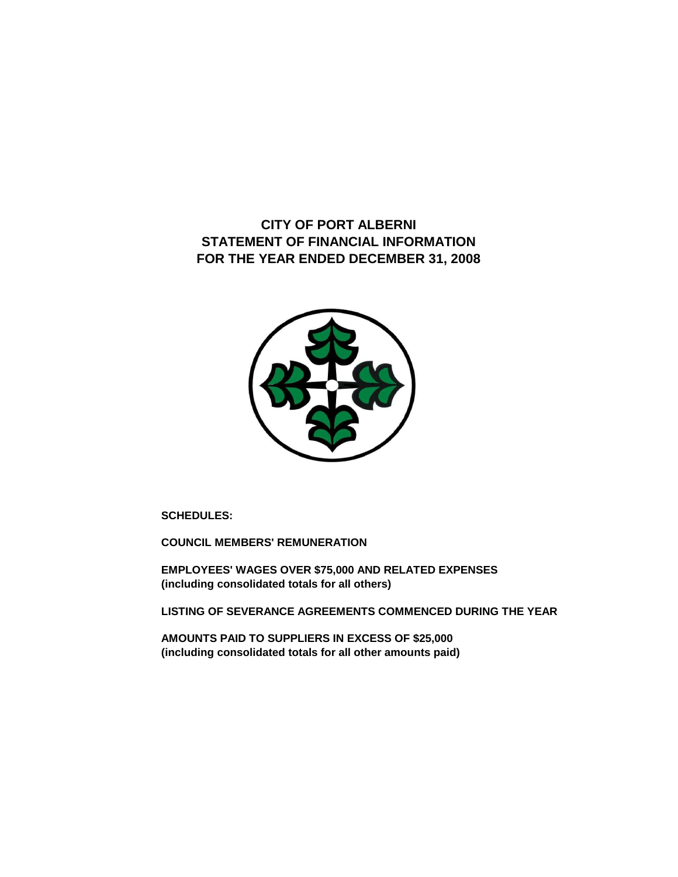**CITY OF PORT ALBERNI STATEMENT OF FINANCIAL INFORMATION FOR THE YEAR ENDED DECEMBER 31, 2008**



**SCHEDULES:**

**COUNCIL MEMBERS' REMUNERATION**

**EMPLOYEES' WAGES OVER \$75,000 AND RELATED EXPENSES (including consolidated totals for all others)**

**LISTING OF SEVERANCE AGREEMENTS COMMENCED DURING THE YEAR**

**AMOUNTS PAID TO SUPPLIERS IN EXCESS OF \$25,000 (including consolidated totals for all other amounts paid)**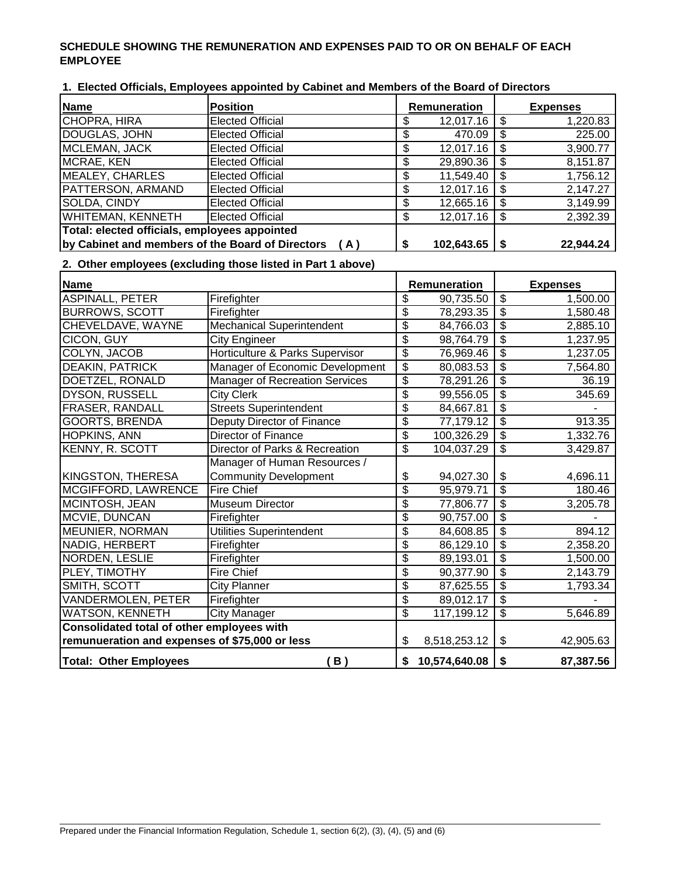## **SCHEDULE SHOWING THE REMUNERATION AND EXPENSES PAID TO OR ON BEHALF OF EACH EMPLOYEE**

| Name                                             | <b>Position</b>         |    | <b>Remuneration</b> |     | <b>Expenses</b> |
|--------------------------------------------------|-------------------------|----|---------------------|-----|-----------------|
| CHOPRA, HIRA                                     | <b>Elected Official</b> | S  | 12,017.16           |     | 1,220.83        |
| DOUGLAS, JOHN                                    | <b>Elected Official</b> | S  | 470.09              |     | 225.00          |
| MCLEMAN, JACK                                    | <b>Elected Official</b> | \$ | 12,017.16           |     | 3,900.77        |
| MCRAE, KEN                                       | <b>Elected Official</b> | S  | 29,890.36           |     | 8,151.87        |
| MEALEY, CHARLES                                  | <b>Elected Official</b> | \$ | 11,549.40           |     | 1,756.12        |
| <b>PATTERSON, ARMAND</b>                         | <b>Elected Official</b> | \$ | 12,017.16           |     | 2,147.27        |
| SOLDA, CINDY                                     | <b>Elected Official</b> | S  | 12,665.16           |     | 3,149.99        |
| <b>WHITEMAN, KENNETH</b>                         | <b>Elected Official</b> | \$ | 12,017.16           | - Տ | 2,392.39        |
| Total: elected officials, employees appointed    |                         |    |                     |     |                 |
| by Cabinet and members of the Board of Directors | (A)                     |    | 102,643.65          |     | 22,944.24       |

**1. Elected Officials, Employees appointed by Cabinet and Members of the Board of Directors**

## **2. Other employees (excluding those listed in Part 1 above)**

| <b>Name</b>                                    |                                       |    | Remuneration  |                         | <b>Expenses</b> |
|------------------------------------------------|---------------------------------------|----|---------------|-------------------------|-----------------|
| <b>ASPINALL, PETER</b>                         | Firefighter                           | \$ | 90,735.50     | $\overline{\$}$         | 1,500.00        |
| <b>BURROWS, SCOTT</b>                          | Firefighter                           | \$ | 78,293.35     | $\overline{\mathbf{e}}$ | 1,580.48        |
| CHEVELDAVE, WAYNE                              | <b>Mechanical Superintendent</b>      | \$ | 84,766.03     | \$                      | 2,885.10        |
| CICON, GUY                                     | <b>City Engineer</b>                  | \$ | 98,764.79     | $\overline{\$}$         | 1,237.95        |
| COLYN, JACOB                                   | Horticulture & Parks Supervisor       | \$ | 76,969.46     | \$                      | 1,237.05        |
| <b>DEAKIN, PATRICK</b>                         | Manager of Economic Development       | \$ | 80,083.53     | $\overline{\$}$         | 7,564.80        |
| DOETZEL, RONALD                                | <b>Manager of Recreation Services</b> | \$ | 78,291.26     | \$                      | 36.19           |
| <b>DYSON, RUSSELL</b>                          | <b>City Clerk</b>                     | \$ | 99,556.05     | \$                      | 345.69          |
| FRASER, RANDALL                                | <b>Streets Superintendent</b>         | \$ | 84,667.81     | \$                      |                 |
| <b>GOORTS, BRENDA</b>                          | Deputy Director of Finance            | \$ | 77,179.12     | $\overline{\$}$         | 913.35          |
| HOPKINS, ANN                                   | <b>Director of Finance</b>            | \$ | 100,326.29    | $\overline{\$}$         | 1,332.76        |
| KENNY, R. SCOTT                                | Director of Parks & Recreation        | \$ | 104,037.29    | $\overline{\$}$         | 3,429.87        |
|                                                | Manager of Human Resources /          |    |               |                         |                 |
| KINGSTON, THERESA                              | <b>Community Development</b>          | \$ | 94,027.30     | \$                      | 4,696.11        |
| MCGIFFORD, LAWRENCE                            | <b>Fire Chief</b>                     | \$ | 95,979.71     | $\overline{\mathbf{S}}$ | 180.46          |
| MCINTOSH, JEAN                                 | <b>Museum Director</b>                | \$ | 77,806.77     | $\overline{\$}$         | 3,205.78        |
| MCVIE, DUNCAN                                  | Firefighter                           | \$ | 90,757.00     | \$                      |                 |
| MEUNIER, NORMAN                                | Utilities Superintendent              | \$ | 84,608.85     | $\overline{\$}$         | 894.12          |
| NADIG, HERBERT                                 | Firefighter                           | \$ | 86,129.10     | \$                      | 2,358.20        |
| NORDEN, LESLIE                                 | Firefighter                           | \$ | 89,193.01     | $\overline{\$}$         | 1,500.00        |
| PLEY, TIMOTHY                                  | <b>Fire Chief</b>                     | \$ | 90,377.90     | $\overline{\$}$         | 2,143.79        |
| SMITH, SCOTT                                   | <b>City Planner</b>                   | \$ | 87,625.55     | \$                      | 1,793.34        |
| <b>VANDERMOLEN, PETER</b>                      | Firefighter                           | \$ | 89,012.17     | \$                      |                 |
| WATSON, KENNETH                                | <b>City Manager</b>                   | \$ | 117,199.12    | \$                      | 5,646.89        |
| Consolidated total of other employees with     |                                       |    |               |                         |                 |
| remunueration and expenses of \$75,000 or less |                                       | \$ | 8,518,253.12  | \$                      | 42,905.63       |
| <b>Total: Other Employees</b>                  | (B)                                   | \$ | 10,574,640.08 | \$                      | 87,387.56       |

 $\_$  ,  $\_$  ,  $\_$  ,  $\_$  ,  $\_$  ,  $\_$  ,  $\_$  ,  $\_$  ,  $\_$  ,  $\_$  ,  $\_$  ,  $\_$  ,  $\_$  ,  $\_$  ,  $\_$  ,  $\_$  ,  $\_$  ,  $\_$  ,  $\_$  ,  $\_$  ,  $\_$  ,  $\_$  ,  $\_$  ,  $\_$  ,  $\_$  ,  $\_$  ,  $\_$  ,  $\_$  ,  $\_$  ,  $\_$  ,  $\_$  ,  $\_$  ,  $\_$  ,  $\_$  ,  $\_$  ,  $\_$  ,  $\_$  ,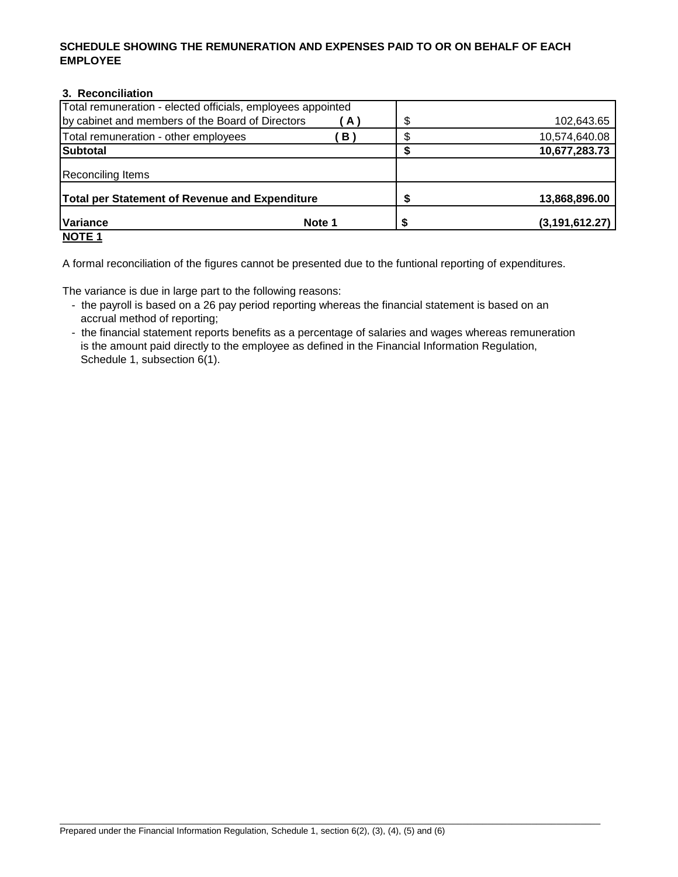## **SCHEDULE SHOWING THE REMUNERATION AND EXPENSES PAID TO OR ON BEHALF OF EACH EMPLOYEE**

# **3. Reconciliation**

| Total remuneration - elected officials, employees appointed |        |                  |
|-------------------------------------------------------------|--------|------------------|
| by cabinet and members of the Board of Directors            | ( A )  | \$<br>102,643.65 |
| Total remuneration - other employees                        | B)     | 10,574,640.08    |
| Subtotal                                                    |        | 10,677,283.73    |
| Reconciling Items                                           |        |                  |
| Total per Statement of Revenue and Expenditure              |        | 13,868,896.00    |
| <b>Variance</b>                                             | Note 1 | (3, 191, 612.27) |
| <b>NOTE 1</b>                                               |        |                  |

A formal reconciliation of the figures cannot be presented due to the funtional reporting of expenditures.

The variance is due in large part to the following reasons:

- the payroll is based on a 26 pay period reporting whereas the financial statement is based on an accrual method of reporting;
- the financial statement reports benefits as a percentage of salaries and wages whereas remuneration is the amount paid directly to the employee as defined in the Financial Information Regulation, Schedule 1, subsection 6(1).

 $\_$  ,  $\_$  ,  $\_$  ,  $\_$  ,  $\_$  ,  $\_$  ,  $\_$  ,  $\_$  ,  $\_$  ,  $\_$  ,  $\_$  ,  $\_$  ,  $\_$  ,  $\_$  ,  $\_$  ,  $\_$  ,  $\_$  ,  $\_$  ,  $\_$  ,  $\_$  ,  $\_$  ,  $\_$  ,  $\_$  ,  $\_$  ,  $\_$  ,  $\_$  ,  $\_$  ,  $\_$  ,  $\_$  ,  $\_$  ,  $\_$  ,  $\_$  ,  $\_$  ,  $\_$  ,  $\_$  ,  $\_$  ,  $\_$  ,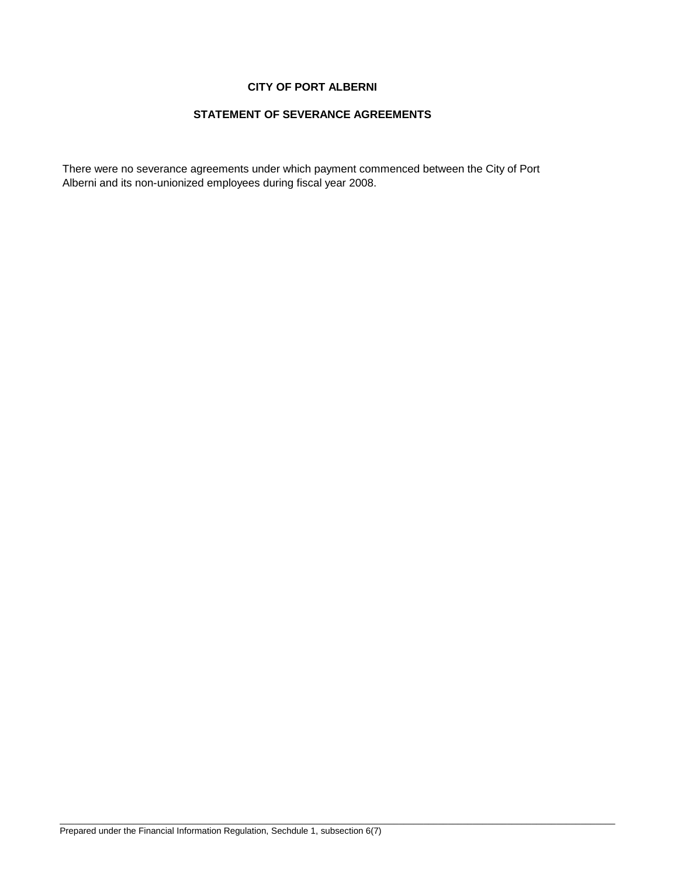# **CITY OF PORT ALBERNI**

## **STATEMENT OF SEVERANCE AGREEMENTS**

There were no severance agreements under which payment commenced between the City of Port Alberni and its non-unionized employees during fiscal year 2008.

\_\_\_\_\_\_\_\_\_\_\_\_\_\_\_\_\_\_\_\_\_\_\_\_\_\_\_\_\_\_\_\_\_\_\_\_\_\_\_\_\_\_\_\_\_\_\_\_\_\_\_\_\_\_\_\_\_\_\_\_\_\_\_\_\_\_\_\_\_\_\_\_\_\_\_\_\_\_\_\_\_\_\_\_\_\_\_\_\_\_\_\_\_\_\_\_\_\_\_\_\_\_\_\_\_\_\_\_\_\_\_\_\_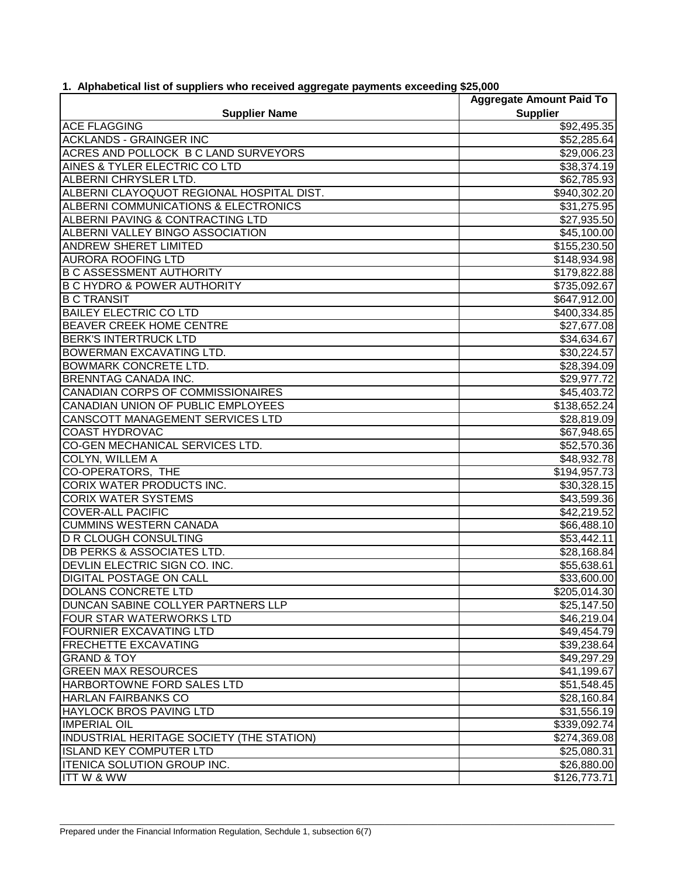|                                           | <b>Aggregate Amount Paid To</b> |
|-------------------------------------------|---------------------------------|
| <b>Supplier Name</b>                      | <b>Supplier</b>                 |
| <b>ACE FLAGGING</b>                       | \$92,495.35                     |
| <b>ACKLANDS - GRAINGER INC</b>            | \$52,285.64                     |
| ACRES AND POLLOCK B C LAND SURVEYORS      | \$29,006.23                     |
| AINES & TYLER ELECTRIC CO LTD             | \$38,374.19                     |
| ALBERNI CHRYSLER LTD.                     | \$62,785.93                     |
| ALBERNI CLAYOQUOT REGIONAL HOSPITAL DIST. | \$940,302.20                    |
| ALBERNI COMMUNICATIONS & ELECTRONICS      | \$31,275.95                     |
| ALBERNI PAVING & CONTRACTING LTD          | \$27,935.50                     |
| ALBERNI VALLEY BINGO ASSOCIATION          | \$45,100.00                     |
| <b>ANDREW SHERET LIMITED</b>              | \$155,230.50                    |
| <b>AURORA ROOFING LTD</b>                 | \$148,934.98                    |
| <b>B C ASSESSMENT AUTHORITY</b>           | \$179,822.88                    |
| <b>B C HYDRO &amp; POWER AUTHORITY</b>    | \$735,092.67                    |
| <b>B C TRANSIT</b>                        | \$647,912.00                    |
| <b>BAILEY ELECTRIC CO LTD</b>             | \$400,334.85                    |
| <b>BEAVER CREEK HOME CENTRE</b>           | \$27,677.08                     |
| <b>BERK'S INTERTRUCK LTD</b>              | \$34,634.67                     |
| <b>BOWERMAN EXCAVATING LTD.</b>           | \$30,224.57                     |
| <b>BOWMARK CONCRETE LTD.</b>              | \$28,394.09                     |
| <b>BRENNTAG CANADA INC.</b>               | \$29,977.72                     |
| CANADIAN CORPS OF COMMISSIONAIRES         | \$45,403.72                     |
| CANADIAN UNION OF PUBLIC EMPLOYEES        | \$138,652.24                    |
| CANSCOTT MANAGEMENT SERVICES LTD          | \$28,819.09                     |
| <b>COAST HYDROVAC</b>                     | \$67,948.65                     |
| CO-GEN MECHANICAL SERVICES LTD.           | \$52,570.36                     |
| <b>COLYN, WILLEM A</b>                    | \$48,932.78                     |
| <b>CO-OPERATORS, THE</b>                  | $\overline{$194,957.73}$        |
| <b>CORIX WATER PRODUCTS INC.</b>          | \$30,328.15                     |
| <b>CORIX WATER SYSTEMS</b>                | \$43,599.36                     |
| <b>COVER-ALL PACIFIC</b>                  | \$42,219.52                     |
| <b>CUMMINS WESTERN CANADA</b>             | \$66,488.10                     |
| <b>D R CLOUGH CONSULTING</b>              | \$53,442.11                     |
| <b>DB PERKS &amp; ASSOCIATES LTD.</b>     | \$28,168.84                     |
| DEVLIN ELECTRIC SIGN CO. INC.             | \$55,638.61                     |
| <b>DIGITAL POSTAGE ON CALL</b>            | \$33,600.00                     |
| <b>DOLANS CONCRETE LTD</b>                | \$205,014.30                    |
| DUNCAN SABINE COLLYER PARTNERS LLP        | \$25,147.50                     |
| FOUR STAR WATERWORKS LTD                  | \$46,219.04                     |
| <b>FOURNIER EXCAVATING LTD</b>            | \$49,454.79                     |
| <b>FRECHETTE EXCAVATING</b>               |                                 |
| <b>GRAND &amp; TOY</b>                    | \$39,238.64                     |
| <b>GREEN MAX RESOURCES</b>                | \$49,297.29                     |
|                                           | \$41,199.67                     |
| HARBORTOWNE FORD SALES LTD                | \$51,548.45                     |
| <b>HARLAN FAIRBANKS CO</b>                | \$28,160.84                     |
| <b>HAYLOCK BROS PAVING LTD</b>            | \$31,556.19                     |
| <b>IMPERIAL OIL</b>                       | \$339,092.74                    |
| INDUSTRIAL HERITAGE SOCIETY (THE STATION) | \$274,369.08                    |
| <b>ISLAND KEY COMPUTER LTD</b>            | \$25,080.31                     |
| ITENICA SOLUTION GROUP INC.               | \$26,880.00                     |
| <b>ITTW &amp; WW</b>                      | \$126,773.71                    |

\_\_\_\_\_\_\_\_\_\_\_\_\_\_\_\_\_\_\_\_\_\_\_\_\_\_\_\_\_\_\_\_\_\_\_\_\_\_\_\_\_\_\_\_\_\_\_\_\_\_\_\_\_\_\_\_\_\_\_\_\_\_\_\_\_\_\_\_\_\_\_\_\_\_\_\_\_\_\_\_\_\_\_\_\_\_\_\_\_\_\_\_\_\_\_\_\_\_\_\_\_\_\_\_\_\_\_\_\_\_\_\_\_\_\_\_

# **1. Alphabetical list of suppliers who received aggregate payments exceeding \$25,000**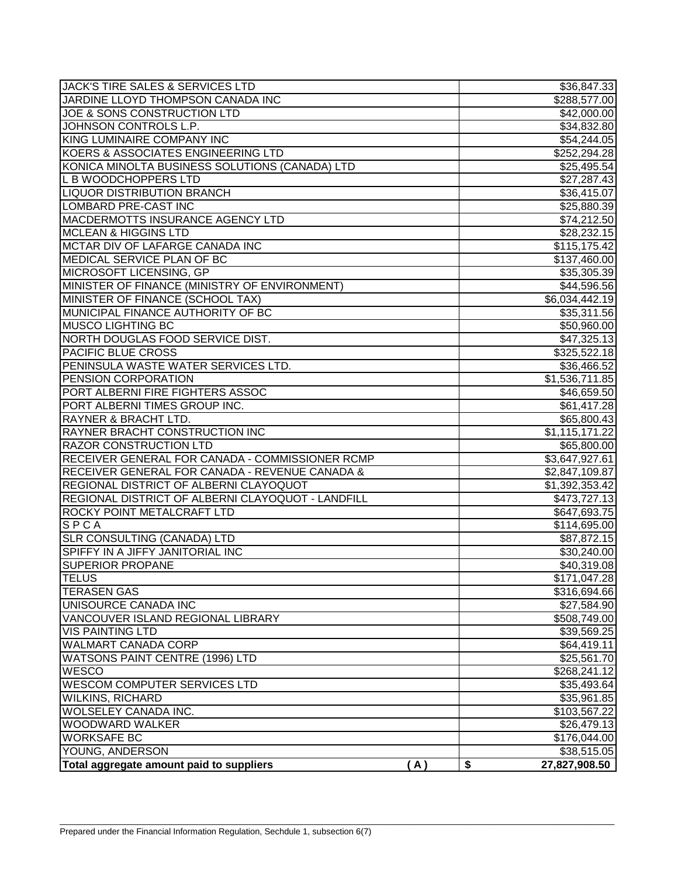| <b>JACK'S TIRE SALES &amp; SERVICES LTD</b>       | \$36,847.33             |
|---------------------------------------------------|-------------------------|
| JARDINE LLOYD THOMPSON CANADA INC                 | \$288,577.00            |
| JOE & SONS CONSTRUCTION LTD                       | \$42,000.00             |
| JOHNSON CONTROLS L.P.                             | \$34,832.80             |
| KING LUMINAIRE COMPANY INC                        | \$54,244.05             |
| KOERS & ASSOCIATES ENGINEERING LTD                | \$252,294.28            |
| KONICA MINOLTA BUSINESS SOLUTIONS (CANADA) LTD    | \$25,495.54             |
| L B WOODCHOPPERS LTD                              | \$27,287.43             |
| <b>LIQUOR DISTRIBUTION BRANCH</b>                 | \$36,415.07             |
| <b>LOMBARD PRE-CAST INC</b>                       | \$25,880.39             |
| MACDERMOTTS INSURANCE AGENCY LTD                  | \$74,212.50             |
| <b>MCLEAN &amp; HIGGINS LTD</b>                   | \$28,232.15             |
| MCTAR DIV OF LAFARGE CANADA INC                   | \$115,175.42            |
| MEDICAL SERVICE PLAN OF BC                        | \$137,460.00            |
| MICROSOFT LICENSING, GP                           | \$35,305.39             |
| MINISTER OF FINANCE (MINISTRY OF ENVIRONMENT)     | \$44,596.56             |
| MINISTER OF FINANCE (SCHOOL TAX)                  | \$6,034,442.19          |
| MUNICIPAL FINANCE AUTHORITY OF BC                 | \$35,311.56             |
| <b>MUSCO LIGHTING BC</b>                          | \$50,960.00             |
| NORTH DOUGLAS FOOD SERVICE DIST.                  | \$47,325.13             |
| PACIFIC BLUE CROSS                                | \$325,522.18            |
| PENINSULA WASTE WATER SERVICES LTD.               | \$36,466.52             |
| PENSION CORPORATION                               | \$1,536,711.85          |
| PORT ALBERNI FIRE FIGHTERS ASSOC                  | \$46,659.50             |
| PORT ALBERNI TIMES GROUP INC.                     | \$61,417.28             |
| <b>RAYNER &amp; BRACHT LTD.</b>                   | \$65,800.43             |
| RAYNER BRACHT CONSTRUCTION INC                    | \$1,115,171.22          |
| <b>RAZOR CONSTRUCTION LTD</b>                     | \$65,800.00             |
| RECEIVER GENERAL FOR CANADA - COMMISSIONER RCMP   | \$3,647,927.61          |
| RECEIVER GENERAL FOR CANADA - REVENUE CANADA &    | \$2,847,109.87          |
| REGIONAL DISTRICT OF ALBERNI CLAYOQUOT            | \$1,392,353.42          |
| REGIONAL DISTRICT OF ALBERNI CLAYOQUOT - LANDFILL | \$473,727.13            |
| ROCKY POINT METALCRAFT LTD                        | \$647,693.75            |
| $SPC$ A                                           | \$114,695.00            |
| <b>SLR CONSULTING (CANADA) LTD</b>                | \$87,872.15             |
| SPIFFY IN A JIFFY JANITORIAL INC                  | \$30,240.00             |
| <b>SUPERIOR PROPANE</b>                           | $\overline{$40,319.08}$ |
| <b>TELUS</b>                                      | \$171,047.28            |
| <b>TERASEN GAS</b>                                | \$316,694.66            |
| UNISOURCE CANADA INC                              | \$27,584.90             |
| VANCOUVER ISLAND REGIONAL LIBRARY                 | \$508,749.00            |
| <b>VIS PAINTING LTD</b>                           | \$39,569.25             |
| <b>WALMART CANADA CORP</b>                        | \$64,419.11             |
| WATSONS PAINT CENTRE (1996) LTD                   | \$25,561.70             |
| <b>WESCO</b>                                      | \$268,241.12            |
| <b>WESCOM COMPUTER SERVICES LTD</b>               | \$35,493.64             |
| <b>WILKINS, RICHARD</b>                           | \$35,961.85             |
| WOLSELEY CANADA INC.                              | \$103,567.22            |
| <b>WOODWARD WALKER</b>                            | \$26,479.13             |
| <b>WORKSAFE BC</b>                                | \$176,044.00            |
| YOUNG, ANDERSON                                   | \$38,515.05             |
| Total aggregate amount paid to suppliers<br>(A)   | \$<br>27,827,908.50     |

\_\_\_\_\_\_\_\_\_\_\_\_\_\_\_\_\_\_\_\_\_\_\_\_\_\_\_\_\_\_\_\_\_\_\_\_\_\_\_\_\_\_\_\_\_\_\_\_\_\_\_\_\_\_\_\_\_\_\_\_\_\_\_\_\_\_\_\_\_\_\_\_\_\_\_\_\_\_\_\_\_\_\_\_\_\_\_\_\_\_\_\_\_\_\_\_\_\_\_\_\_\_\_\_\_\_\_\_\_\_\_\_\_\_\_\_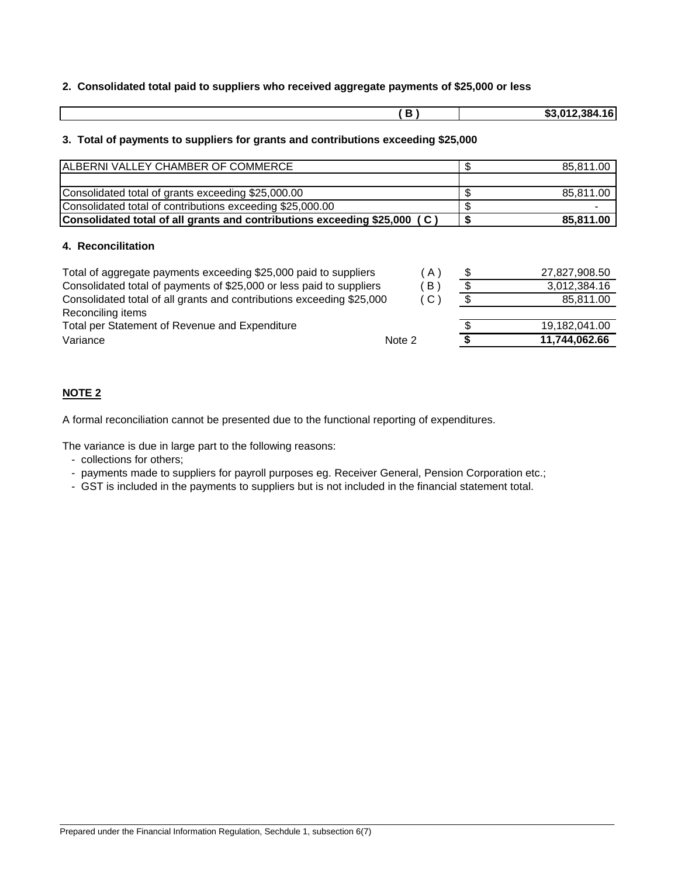## **2. Consolidated total paid to suppliers who received aggregate payments of \$25,000 or less**

|  | <u> та</u><br>. .<br>. .<br>л. |
|--|--------------------------------|
|  |                                |

## **3. Total of payments to suppliers for grants and contributions exceeding \$25,000**

| ALBERNI VALLEY CHAMBER OF COMMERCE                                        |                 | \$                       | 85,811.00     |
|---------------------------------------------------------------------------|-----------------|--------------------------|---------------|
|                                                                           |                 |                          |               |
| Consolidated total of grants exceeding \$25,000.00                        |                 | \$                       | 85,811.00     |
| Consolidated total of contributions exceeding \$25,000.00                 |                 | \$                       |               |
| Consolidated total of all grants and contributions exceeding \$25,000 (C) |                 | \$                       | 85,811.00     |
| 4. Reconcilitation                                                        |                 |                          |               |
| Total of aggregate payments exceeding \$25,000 paid to suppliers          | A)              | \$                       | 27,827,908.50 |
| Consolidated total of payments of \$25,000 or less paid to suppliers      | B)              | \$                       | 3,012,384.16  |
| Consolidated total of all grants and contributions exceeding \$25,000     | $\mathcal{C}$ ) | $\overline{\mathcal{S}}$ | 85,811.00     |
| Reconciling items                                                         |                 |                          |               |
| Total per Statement of Revenue and Expenditure                            |                 |                          | 19,182,041.00 |
| Variance                                                                  | Note 2          |                          | 11,744,062.66 |

## **NOTE 2**

A formal reconciliation cannot be presented due to the functional reporting of expenditures.

The variance is due in large part to the following reasons:

- collections for others;
- payments made to suppliers for payroll purposes eg. Receiver General, Pension Corporation etc.;

\_\_\_\_\_\_\_\_\_\_\_\_\_\_\_\_\_\_\_\_\_\_\_\_\_\_\_\_\_\_\_\_\_\_\_\_\_\_\_\_\_\_\_\_\_\_\_\_\_\_\_\_\_\_\_\_\_\_\_\_\_\_\_\_\_\_\_\_\_\_\_\_\_\_\_\_\_\_\_\_\_\_\_\_\_\_\_\_\_\_\_\_\_\_\_\_\_\_\_\_\_\_\_\_\_\_\_\_\_\_\_\_\_\_\_\_

- GST is included in the payments to suppliers but is not included in the financial statement total.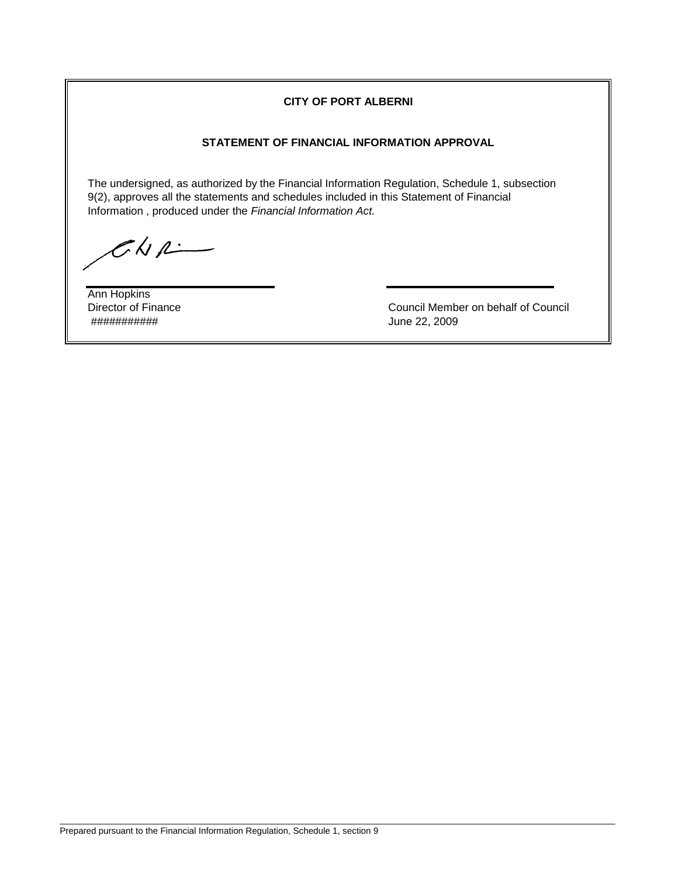## **CITY OF PORT ALBERNI**

# **STATEMENT OF FINANCIAL INFORMATION APPROVAL**

The undersigned, as authorized by the Financial Information Regulation, Schedule 1, subsection 9(2), approves all the statements and schedules included in this Statement of Financial Information , produced under the *Financial Information Act.*

 $CKA$ 

Ann Hopkins ########### June 22, 2009

Director of Finance Council Member on behalf of Council

\_\_\_\_\_\_\_\_\_\_\_\_\_\_\_\_\_\_\_\_\_\_\_\_\_\_\_\_\_\_\_\_\_\_\_\_\_\_\_\_\_\_\_\_\_\_\_\_\_\_\_\_\_\_\_\_\_\_\_\_\_\_\_\_\_\_\_\_\_\_\_\_\_\_\_\_\_\_\_\_\_\_\_\_\_\_\_\_\_\_\_\_\_\_\_\_\_\_\_\_\_\_\_\_\_\_\_\_\_\_\_\_\_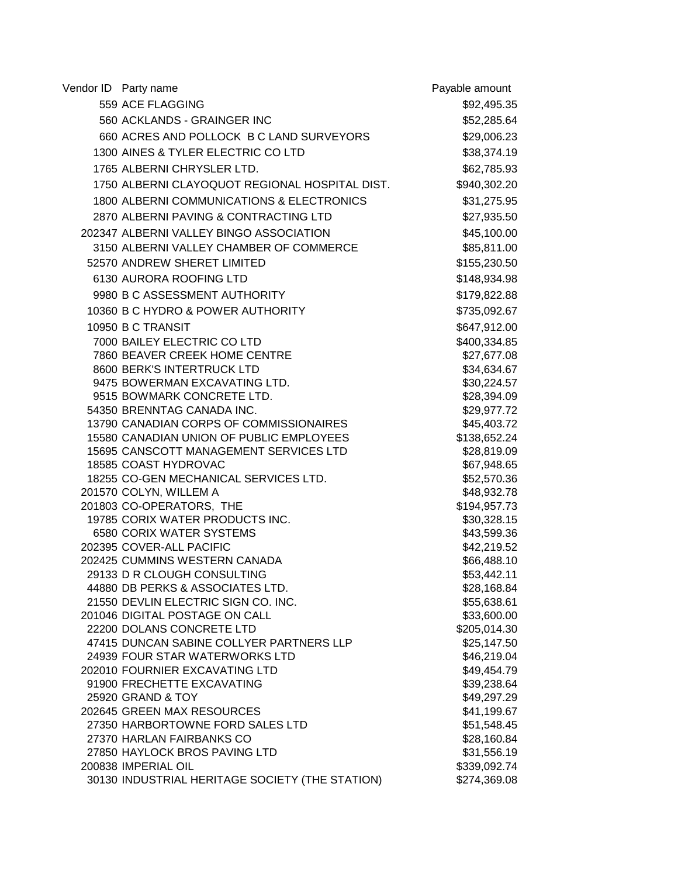| Vendor ID Party name                                          | Payable amount             |
|---------------------------------------------------------------|----------------------------|
| 559 ACE FLAGGING                                              | \$92,495.35                |
| 560 ACKLANDS - GRAINGER INC                                   | \$52,285.64                |
| 660 ACRES AND POLLOCK B C LAND SURVEYORS                      | \$29,006.23                |
| 1300 AINES & TYLER ELECTRIC CO LTD                            | \$38,374.19                |
| 1765 ALBERNI CHRYSLER LTD.                                    | \$62,785.93                |
| 1750 ALBERNI CLAYOQUOT REGIONAL HOSPITAL DIST.                | \$940,302.20               |
| 1800 ALBERNI COMMUNICATIONS & ELECTRONICS                     | \$31,275.95                |
| 2870 ALBERNI PAVING & CONTRACTING LTD                         | \$27,935.50                |
| 202347 ALBERNI VALLEY BINGO ASSOCIATION                       | \$45,100.00                |
| 3150 ALBERNI VALLEY CHAMBER OF COMMERCE                       | \$85,811.00                |
| 52570 ANDREW SHERET LIMITED                                   | \$155,230.50               |
| 6130 AURORA ROOFING LTD                                       | \$148,934.98               |
| 9980 B C ASSESSMENT AUTHORITY                                 | \$179,822.88               |
| 10360 B C HYDRO & POWER AUTHORITY                             | \$735,092.67               |
|                                                               |                            |
| 10950 B C TRANSIT                                             | \$647,912.00               |
| 7000 BAILEY ELECTRIC CO LTD                                   | \$400,334.85               |
| 7860 BEAVER CREEK HOME CENTRE<br>8600 BERK'S INTERTRUCK LTD   | \$27,677.08<br>\$34,634.67 |
| 9475 BOWERMAN EXCAVATING LTD.                                 | \$30,224.57                |
| 9515 BOWMARK CONCRETE LTD.                                    | \$28,394.09                |
| 54350 BRENNTAG CANADA INC.                                    | \$29,977.72                |
| 13790 CANADIAN CORPS OF COMMISSIONAIRES                       | \$45,403.72                |
| 15580 CANADIAN UNION OF PUBLIC EMPLOYEES                      | \$138,652.24               |
| 15695 CANSCOTT MANAGEMENT SERVICES LTD                        | \$28,819.09                |
| 18585 COAST HYDROVAC                                          | \$67,948.65                |
| 18255 CO-GEN MECHANICAL SERVICES LTD.                         | \$52,570.36                |
| 201570 COLYN, WILLEM A                                        | \$48,932.78                |
| 201803 CO-OPERATORS, THE                                      | \$194,957.73               |
| 19785 CORIX WATER PRODUCTS INC.                               | \$30,328.15                |
| 6580 CORIX WATER SYSTEMS                                      | \$43,599.36                |
| 202395 COVER-ALL PACIFIC                                      | \$42,219.52                |
| 202425 CUMMINS WESTERN CANADA                                 | \$66,488.10                |
| 29133 D R CLOUGH CONSULTING                                   | \$53,442.11                |
| 44880 DB PERKS & ASSOCIATES LTD.                              | \$28,168.84                |
| 21550 DEVLIN ELECTRIC SIGN CO. INC.                           | \$55,638.61                |
| 201046 DIGITAL POSTAGE ON CALL                                | \$33,600.00                |
| 22200 DOLANS CONCRETE LTD                                     | \$205,014.30               |
| 47415 DUNCAN SABINE COLLYER PARTNERS LLP                      | \$25,147.50                |
| 24939 FOUR STAR WATERWORKS LTD                                | \$46,219.04                |
| 202010 FOURNIER EXCAVATING LTD                                | \$49,454.79                |
| 91900 FRECHETTE EXCAVATING                                    | \$39,238.64                |
| 25920 GRAND & TOY                                             | \$49,297.29                |
| 202645 GREEN MAX RESOURCES                                    | \$41,199.67                |
| 27350 HARBORTOWNE FORD SALES LTD<br>27370 HARLAN FAIRBANKS CO | \$51,548.45                |
| 27850 HAYLOCK BROS PAVING LTD                                 | \$28,160.84<br>\$31,556.19 |
| 200838 IMPERIAL OIL                                           | \$339,092.74               |
| 30130 INDUSTRIAL HERITAGE SOCIETY (THE STATION)               | \$274,369.08               |
|                                                               |                            |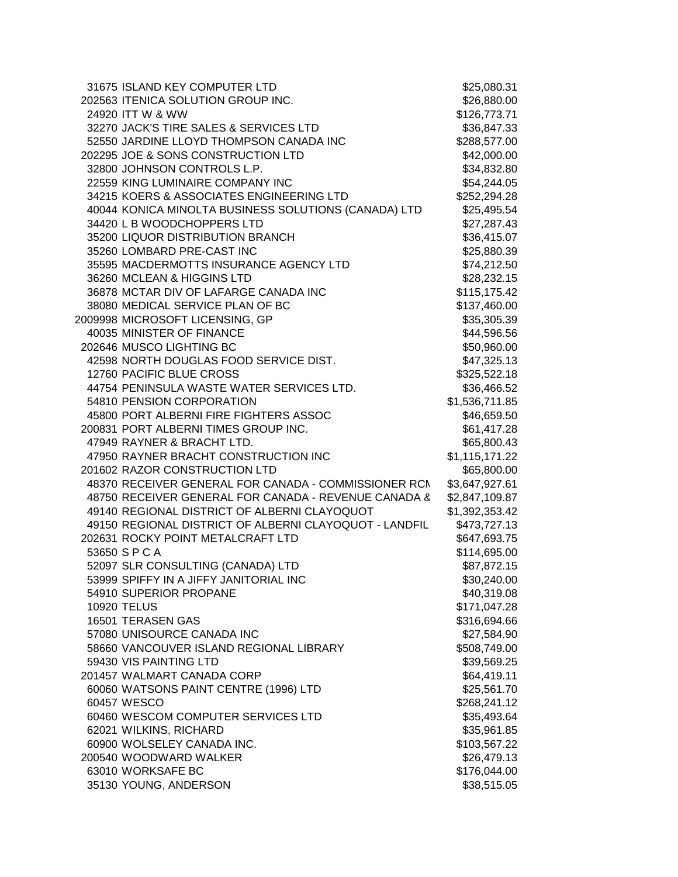| 31675 ISLAND KEY COMPUTER LTD                          | \$25,080.31    |
|--------------------------------------------------------|----------------|
| 202563 ITENICA SOLUTION GROUP INC.                     | \$26,880.00    |
| 24920 ITT W & WW                                       | \$126,773.71   |
| 32270 JACK'S TIRE SALES & SERVICES LTD                 | \$36,847.33    |
| 52550 JARDINE LLOYD THOMPSON CANADA INC                | \$288,577.00   |
| 202295 JOE & SONS CONSTRUCTION LTD                     | \$42,000.00    |
| 32800 JOHNSON CONTROLS L.P.                            | \$34,832.80    |
| 22559 KING LUMINAIRE COMPANY INC                       | \$54,244.05    |
| 34215 KOERS & ASSOCIATES ENGINEERING LTD               | \$252,294.28   |
| 40044 KONICA MINOLTA BUSINESS SOLUTIONS (CANADA) LTD   | \$25,495.54    |
| 34420 L B WOODCHOPPERS LTD                             | \$27,287.43    |
| 35200 LIQUOR DISTRIBUTION BRANCH                       | \$36,415.07    |
| 35260 LOMBARD PRE-CAST INC                             | \$25,880.39    |
| 35595 MACDERMOTTS INSURANCE AGENCY LTD                 | \$74,212.50    |
| 36260 MCLEAN & HIGGINS LTD                             | \$28,232.15    |
| 36878 MCTAR DIV OF LAFARGE CANADA INC                  | \$115,175.42   |
| 38080 MEDICAL SERVICE PLAN OF BC                       | \$137,460.00   |
| 2009998 MICROSOFT LICENSING, GP                        | \$35,305.39    |
| 40035 MINISTER OF FINANCE                              | \$44,596.56    |
| 202646 MUSCO LIGHTING BC                               | \$50,960.00    |
| 42598 NORTH DOUGLAS FOOD SERVICE DIST.                 | \$47,325.13    |
| 12760 PACIFIC BLUE CROSS                               | \$325,522.18   |
| 44754 PENINSULA WASTE WATER SERVICES LTD.              | \$36,466.52    |
| 54810 PENSION CORPORATION                              | \$1,536,711.85 |
| 45800 PORT ALBERNI FIRE FIGHTERS ASSOC                 | \$46,659.50    |
| 200831 PORT ALBERNI TIMES GROUP INC.                   | \$61,417.28    |
| 47949 RAYNER & BRACHT LTD.                             | \$65,800.43    |
| 47950 RAYNER BRACHT CONSTRUCTION INC                   | \$1,115,171.22 |
| 201602 RAZOR CONSTRUCTION LTD                          | \$65,800.00    |
| 48370 RECEIVER GENERAL FOR CANADA - COMMISSIONER RCM   | \$3,647,927.61 |
| 48750 RECEIVER GENERAL FOR CANADA - REVENUE CANADA 8   | \$2,847,109.87 |
| 49140 REGIONAL DISTRICT OF ALBERNI CLAYOQUOT           | \$1,392,353.42 |
| 49150 REGIONAL DISTRICT OF ALBERNI CLAYOQUOT - LANDFIL | \$473,727.13   |
| 202631 ROCKY POINT METALCRAFT LTD                      | \$647,693.75   |
| 53650 SPCA                                             | \$114,695.00   |
| 52097 SLR CONSULTING (CANADA) LTD                      | \$87,872.15    |
| 53999 SPIFFY IN A JIFFY JANITORIAL INC                 | \$30,240.00    |
| 54910 SUPERIOR PROPANE                                 | \$40,319.08    |
| <b>10920 TELUS</b>                                     | \$171,047.28   |
| 16501 TERASEN GAS                                      | \$316,694.66   |
| 57080 UNISOURCE CANADA INC                             | \$27,584.90    |
| 58660 VANCOUVER ISLAND REGIONAL LIBRARY                | \$508,749.00   |
| 59430 VIS PAINTING LTD                                 | \$39,569.25    |
| 201457 WALMART CANADA CORP                             | \$64,419.11    |
| 60060 WATSONS PAINT CENTRE (1996) LTD                  | \$25,561.70    |
| 60457 WESCO                                            | \$268,241.12   |
| 60460 WESCOM COMPUTER SERVICES LTD                     | \$35,493.64    |
| 62021 WILKINS, RICHARD                                 | \$35,961.85    |
| 60900 WOLSELEY CANADA INC.                             | \$103,567.22   |
| 200540 WOODWARD WALKER                                 | \$26,479.13    |
| 63010 WORKSAFE BC                                      | \$176,044.00   |
| 35130 YOUNG, ANDERSON                                  | \$38,515.05    |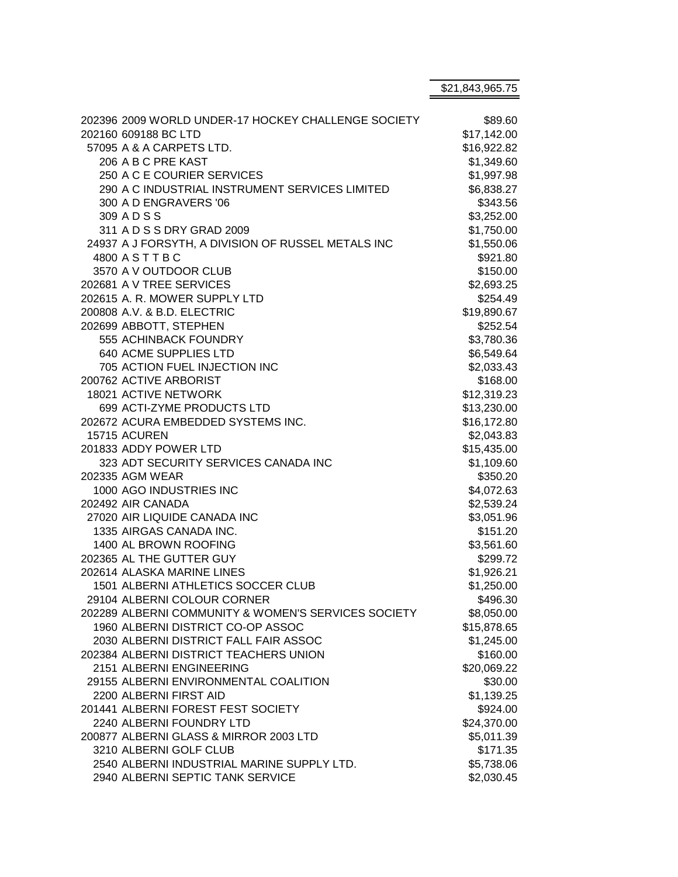|                                                     | \$21,843,965.75 |
|-----------------------------------------------------|-----------------|
|                                                     |                 |
| 202396 2009 WORLD UNDER-17 HOCKEY CHALLENGE SOCIETY | \$89.60         |
| 202160 609188 BC LTD                                | \$17,142.00     |
| 57095 A & A CARPETS LTD.                            | \$16,922.82     |
| 206 A B C PRE KAST                                  | \$1,349.60      |
| 250 A C E COURIER SERVICES                          | \$1,997.98      |
| 290 A C INDUSTRIAL INSTRUMENT SERVICES LIMITED      | \$6,838.27      |
| 300 A D ENGRAVERS '06                               | \$343.56        |
| 309 ADSS                                            | \$3,252.00      |
| 311 A D S S DRY GRAD 2009                           | \$1,750.00      |
| 24937 A J FORSYTH, A DIVISION OF RUSSEL METALS INC  | \$1,550.06      |
| 4800 A S T T B C                                    | \$921.80        |
| 3570 A V OUTDOOR CLUB                               | \$150.00        |
| 202681 A V TREE SERVICES                            | \$2,693.25      |
| 202615 A. R. MOWER SUPPLY LTD                       | \$254.49        |
| 200808 A.V. & B.D. ELECTRIC                         | \$19,890.67     |
| 202699 ABBOTT, STEPHEN                              | \$252.54        |
| 555 ACHINBACK FOUNDRY                               | \$3,780.36      |
| 640 ACME SUPPLIES LTD                               | \$6,549.64      |
| 705 ACTION FUEL INJECTION INC                       | \$2,033.43      |
| 200762 ACTIVE ARBORIST                              | \$168.00        |
| 18021 ACTIVE NETWORK                                | \$12,319.23     |
| 699 ACTI-ZYME PRODUCTS LTD                          | \$13,230.00     |
| 202672 ACURA EMBEDDED SYSTEMS INC.                  | \$16,172.80     |
| 15715 ACUREN                                        | \$2,043.83      |
| 201833 ADDY POWER LTD                               | \$15,435.00     |
| 323 ADT SECURITY SERVICES CANADA INC                | \$1,109.60      |
| 202335 AGM WEAR                                     | \$350.20        |
| 1000 AGO INDUSTRIES INC                             | \$4,072.63      |
| 202492 AIR CANADA                                   | \$2,539.24      |
| 27020 AIR LIQUIDE CANADA INC                        | \$3,051.96      |
| 1335 AIRGAS CANADA INC.                             | \$151.20        |
| 1400 AL BROWN ROOFING                               | \$3,561.60      |
| 202365 AL THE GUTTER GUY                            | \$299.72        |
| 202614 ALASKA MARINE LINES                          | \$1,926.21      |
| 1501 ALBERNI ATHLETICS SOCCER CLUB                  | \$1,250.00      |
| 29104 ALBERNI COLOUR CORNER                         | \$496.30        |
| 202289 ALBERNI COMMUNITY & WOMEN'S SERVICES SOCIETY | \$8,050.00      |
| 1960 ALBERNI DISTRICT CO-OP ASSOC                   | \$15,878.65     |
| 2030 ALBERNI DISTRICT FALL FAIR ASSOC               | \$1,245.00      |
| 202384 ALBERNI DISTRICT TEACHERS UNION              | \$160.00        |
| 2151 ALBERNI ENGINEERING                            | \$20,069.22     |
| 29155 ALBERNI ENVIRONMENTAL COALITION               | \$30.00         |
| 2200 ALBERNI FIRST AID                              | \$1,139.25      |
| 201441 ALBERNI FOREST FEST SOCIETY                  | \$924.00        |
| 2240 ALBERNI FOUNDRY LTD                            | \$24,370.00     |
| 200877 ALBERNI GLASS & MIRROR 2003 LTD              | \$5,011.39      |
| 3210 ALBERNI GOLF CLUB                              | \$171.35        |
| 2540 ALBERNI INDUSTRIAL MARINE SUPPLY LTD.          | \$5,738.06      |
| 2940 ALBERNI SEPTIC TANK SERVICE                    | \$2,030.45      |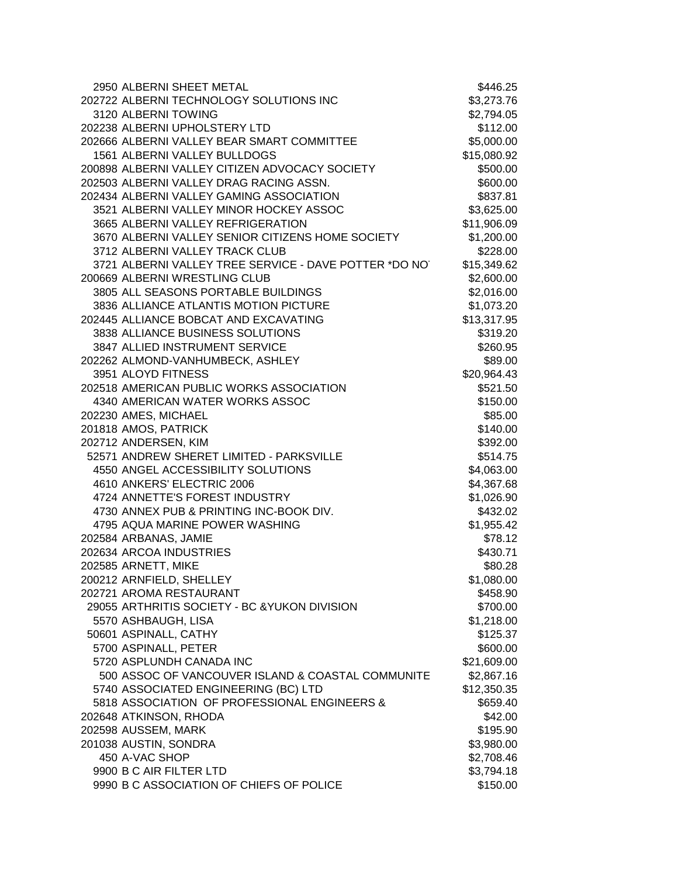| 2950 ALBERNI SHEET METAL                              | \$446.25    |
|-------------------------------------------------------|-------------|
| 202722 ALBERNI TECHNOLOGY SOLUTIONS INC               | \$3,273.76  |
| 3120 ALBERNI TOWING                                   | \$2,794.05  |
| 202238 ALBERNI UPHOLSTERY LTD                         | \$112.00    |
| 202666 ALBERNI VALLEY BEAR SMART COMMITTEE            | \$5,000.00  |
| 1561 ALBERNI VALLEY BULLDOGS                          | \$15,080.92 |
| 200898 ALBERNI VALLEY CITIZEN ADVOCACY SOCIETY        | \$500.00    |
| 202503 ALBERNI VALLEY DRAG RACING ASSN.               | \$600.00    |
| 202434 ALBERNI VALLEY GAMING ASSOCIATION              | \$837.81    |
| 3521 ALBERNI VALLEY MINOR HOCKEY ASSOC                | \$3,625.00  |
| 3665 ALBERNI VALLEY REFRIGERATION                     | \$11,906.09 |
| 3670 ALBERNI VALLEY SENIOR CITIZENS HOME SOCIETY      | \$1,200.00  |
| 3712 ALBERNI VALLEY TRACK CLUB                        | \$228.00    |
| 3721 ALBERNI VALLEY TREE SERVICE - DAVE POTTER *DO NO | \$15,349.62 |
| 200669 ALBERNI WRESTLING CLUB                         | \$2,600.00  |
| 3805 ALL SEASONS PORTABLE BUILDINGS                   | \$2,016.00  |
| 3836 ALLIANCE ATLANTIS MOTION PICTURE                 | \$1,073.20  |
| 202445 ALLIANCE BOBCAT AND EXCAVATING                 | \$13,317.95 |
| 3838 ALLIANCE BUSINESS SOLUTIONS                      | \$319.20    |
| 3847 ALLIED INSTRUMENT SERVICE                        | \$260.95    |
| 202262 ALMOND-VANHUMBECK, ASHLEY                      | \$89.00     |
| 3951 ALOYD FITNESS                                    | \$20,964.43 |
| 202518 AMERICAN PUBLIC WORKS ASSOCIATION              | \$521.50    |
| 4340 AMERICAN WATER WORKS ASSOC                       | \$150.00    |
| 202230 AMES, MICHAEL                                  | \$85.00     |
| 201818 AMOS, PATRICK                                  | \$140.00    |
| 202712 ANDERSEN, KIM                                  | \$392.00    |
| 52571 ANDREW SHERET LIMITED - PARKSVILLE              | \$514.75    |
| 4550 ANGEL ACCESSIBILITY SOLUTIONS                    | \$4,063.00  |
| 4610 ANKERS' ELECTRIC 2006                            | \$4,367.68  |
| 4724 ANNETTE'S FOREST INDUSTRY                        | \$1,026.90  |
| 4730 ANNEX PUB & PRINTING INC-BOOK DIV.               | \$432.02    |
| 4795 AQUA MARINE POWER WASHING                        | \$1,955.42  |
| 202584 ARBANAS, JAMIE                                 | \$78.12     |
| 202634 ARCOA INDUSTRIES                               | \$430.71    |
| 202585 ARNETT, MIKE                                   | \$80.28     |
| 200212 ARNFIELD, SHELLEY                              | \$1,080.00  |
| 202721 AROMA RESTAURANT                               | \$458.90    |
| 29055 ARTHRITIS SOCIETY - BC & YUKON DIVISION         | \$700.00    |
| 5570 ASHBAUGH, LISA                                   | \$1,218.00  |
| 50601 ASPINALL, CATHY                                 | \$125.37    |
| 5700 ASPINALL, PETER                                  | \$600.00    |
| 5720 ASPLUNDH CANADA INC                              | \$21,609.00 |
| 500 ASSOC OF VANCOUVER ISLAND & COASTAL COMMUNITE     | \$2,867.16  |
| 5740 ASSOCIATED ENGINEERING (BC) LTD                  | \$12,350.35 |
| 5818 ASSOCIATION OF PROFESSIONAL ENGINEERS &          | \$659.40    |
| 202648 ATKINSON, RHODA                                | \$42.00     |
| 202598 AUSSEM, MARK                                   | \$195.90    |
| 201038 AUSTIN, SONDRA                                 | \$3,980.00  |
| 450 A-VAC SHOP                                        | \$2,708.46  |
| 9900 B C AIR FILTER LTD                               | \$3,794.18  |
| 9990 B C ASSOCIATION OF CHIEFS OF POLICE              | \$150.00    |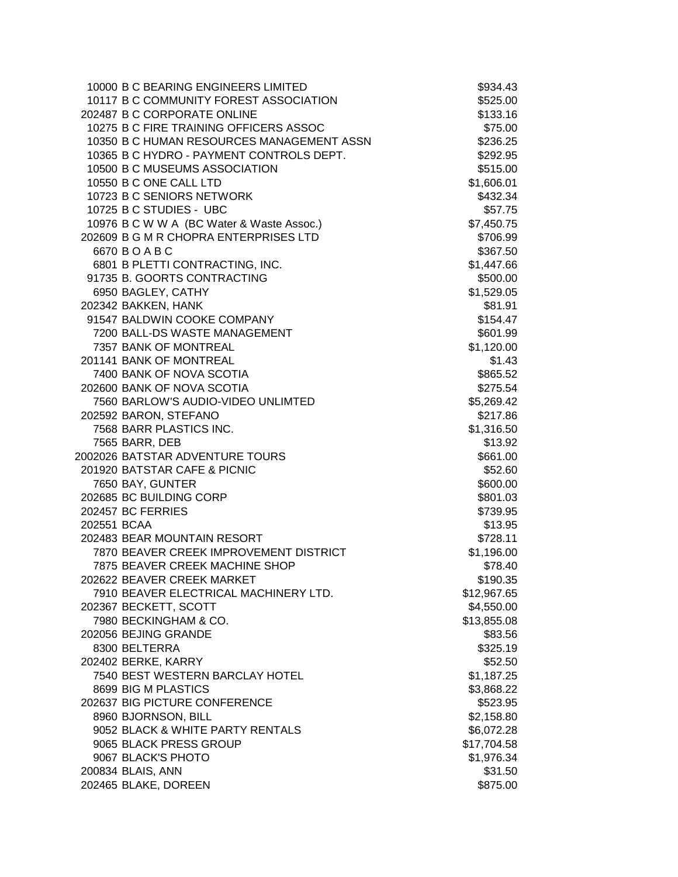|             | 10000 B C BEARING ENGINEERS LIMITED       | \$934.43    |
|-------------|-------------------------------------------|-------------|
|             | 10117 B C COMMUNITY FOREST ASSOCIATION    | \$525.00    |
|             | 202487 B C CORPORATE ONLINE               | \$133.16    |
|             | 10275 B C FIRE TRAINING OFFICERS ASSOC    | \$75.00     |
|             | 10350 B C HUMAN RESOURCES MANAGEMENT ASSN | \$236.25    |
|             | 10365 B C HYDRO - PAYMENT CONTROLS DEPT.  | \$292.95    |
|             | 10500 B C MUSEUMS ASSOCIATION             | \$515.00    |
|             | 10550 B C ONE CALL LTD                    | \$1,606.01  |
|             | 10723 B C SENIORS NETWORK                 | \$432.34    |
|             | 10725 B C STUDIES - UBC                   | \$57.75     |
|             | 10976 B C W W A (BC Water & Waste Assoc.) | \$7,450.75  |
|             | 202609 B G M R CHOPRA ENTERPRISES LTD     | \$706.99    |
|             | 6670 BOABC                                | \$367.50    |
|             | 6801 B PLETTI CONTRACTING, INC.           | \$1,447.66  |
|             | 91735 B. GOORTS CONTRACTING               | \$500.00    |
|             | 6950 BAGLEY, CATHY                        | \$1,529.05  |
|             | 202342 BAKKEN, HANK                       | \$81.91     |
|             | 91547 BALDWIN COOKE COMPANY               | \$154.47    |
|             | 7200 BALL-DS WASTE MANAGEMENT             | \$601.99    |
|             | 7357 BANK OF MONTREAL                     | \$1,120.00  |
|             | 201141 BANK OF MONTREAL                   | \$1.43      |
|             | 7400 BANK OF NOVA SCOTIA                  | \$865.52    |
|             | 202600 BANK OF NOVA SCOTIA                | \$275.54    |
|             | 7560 BARLOW'S AUDIO-VIDEO UNLIMTED        | \$5,269.42  |
|             | 202592 BARON, STEFANO                     | \$217.86    |
|             | 7568 BARR PLASTICS INC.                   | \$1,316.50  |
|             | 7565 BARR, DEB                            | \$13.92     |
|             | 2002026 BATSTAR ADVENTURE TOURS           | \$661.00    |
|             | 201920 BATSTAR CAFE & PICNIC              | \$52.60     |
|             | 7650 BAY, GUNTER                          | \$600.00    |
|             | 202685 BC BUILDING CORP                   | \$801.03    |
|             | 202457 BC FERRIES                         | \$739.95    |
| 202551 BCAA |                                           | \$13.95     |
|             | 202483 BEAR MOUNTAIN RESORT               | \$728.11    |
|             | 7870 BEAVER CREEK IMPROVEMENT DISTRICT    | \$1,196.00  |
|             | 7875 BEAVER CREEK MACHINE SHOP            | \$78.40     |
|             |                                           |             |
|             | 202622 BEAVER CREEK MARKET                | \$190.35    |
|             | 7910 BEAVER ELECTRICAL MACHINERY LTD.     | \$12,967.65 |
|             | 202367 BECKETT, SCOTT                     | \$4,550.00  |
|             | 7980 BECKINGHAM & CO.                     | \$13,855.08 |
|             | 202056 BEJING GRANDE                      | \$83.56     |
|             | 8300 BELTERRA                             | \$325.19    |
|             | 202402 BERKE, KARRY                       | \$52.50     |
|             | 7540 BEST WESTERN BARCLAY HOTEL           | \$1,187.25  |
|             | 8699 BIG M PLASTICS                       | \$3,868.22  |
|             | 202637 BIG PICTURE CONFERENCE             | \$523.95    |
|             | 8960 BJORNSON, BILL                       | \$2,158.80  |
|             | 9052 BLACK & WHITE PARTY RENTALS          | \$6,072.28  |
|             | 9065 BLACK PRESS GROUP                    | \$17,704.58 |
|             | 9067 BLACK'S PHOTO                        | \$1,976.34  |
|             | 200834 BLAIS, ANN                         | \$31.50     |
|             | 202465 BLAKE, DOREEN                      | \$875.00    |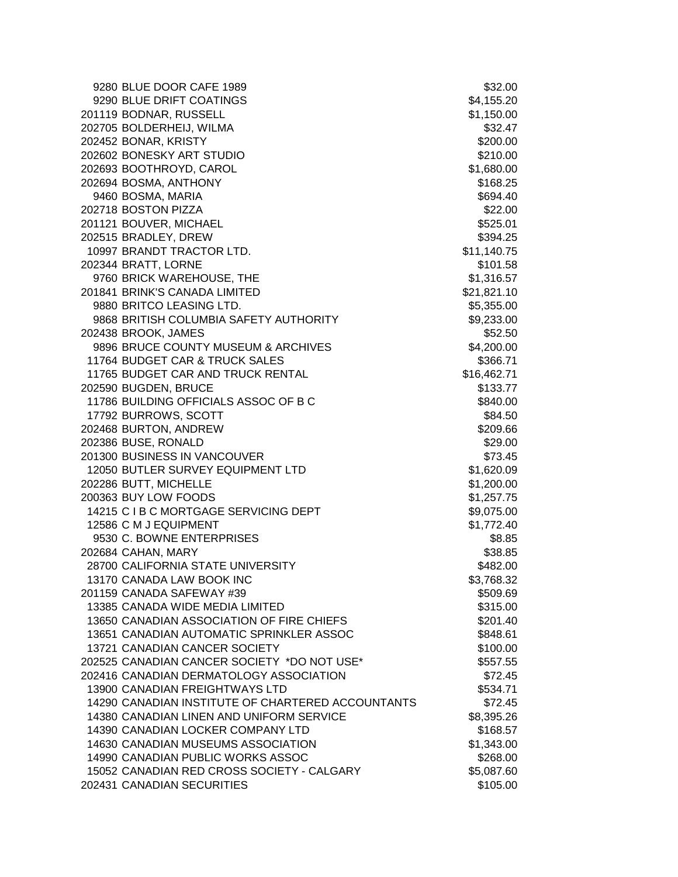| 9280 BLUE DOOR CAFE 1989                          | \$32.00     |
|---------------------------------------------------|-------------|
| 9290 BLUE DRIFT COATINGS                          | \$4,155.20  |
| 201119 BODNAR, RUSSELL                            | \$1,150.00  |
| 202705 BOLDERHEIJ, WILMA                          | \$32.47     |
| 202452 BONAR, KRISTY                              | \$200.00    |
| 202602 BONESKY ART STUDIO                         | \$210.00    |
| 202693 BOOTHROYD, CAROL                           | \$1,680.00  |
| 202694 BOSMA, ANTHONY                             | \$168.25    |
| 9460 BOSMA, MARIA                                 | \$694.40    |
| 202718 BOSTON PIZZA                               | \$22.00     |
| 201121 BOUVER, MICHAEL                            | \$525.01    |
| 202515 BRADLEY, DREW                              | \$394.25    |
| 10997 BRANDT TRACTOR LTD.                         | \$11,140.75 |
| 202344 BRATT, LORNE                               | \$101.58    |
| 9760 BRICK WAREHOUSE, THE                         | \$1,316.57  |
| 201841 BRINK'S CANADA LIMITED                     | \$21,821.10 |
| 9880 BRITCO LEASING LTD.                          | \$5,355.00  |
| 9868 BRITISH COLUMBIA SAFETY AUTHORITY            | \$9,233.00  |
| 202438 BROOK, JAMES                               | \$52.50     |
| 9896 BRUCE COUNTY MUSEUM & ARCHIVES               | \$4,200.00  |
| 11764 BUDGET CAR & TRUCK SALES                    | \$366.71    |
| 11765 BUDGET CAR AND TRUCK RENTAL                 | \$16,462.71 |
| 202590 BUGDEN, BRUCE                              | \$133.77    |
| 11786 BUILDING OFFICIALS ASSOC OF B C             | \$840.00    |
| 17792 BURROWS, SCOTT                              | \$84.50     |
| 202468 BURTON, ANDREW                             | \$209.66    |
| 202386 BUSE, RONALD                               | \$29.00     |
| 201300 BUSINESS IN VANCOUVER                      | \$73.45     |
| 12050 BUTLER SURVEY EQUIPMENT LTD                 | \$1,620.09  |
| 202286 BUTT, MICHELLE                             | \$1,200.00  |
| 200363 BUY LOW FOODS                              | \$1,257.75  |
| 14215 C I B C MORTGAGE SERVICING DEPT             | \$9,075.00  |
| 12586 C M J EQUIPMENT                             | \$1,772.40  |
| 9530 C. BOWNE ENTERPRISES                         | \$8.85      |
| 202684 CAHAN, MARY                                | \$38.85     |
| 28700 CALIFORNIA STATE UNIVERSITY                 | \$482.00    |
| 13170 CANADA LAW BOOK INC                         | \$3,768.32  |
| 201159 CANADA SAFEWAY #39                         | \$509.69    |
| 13385 CANADA WIDE MEDIA LIMITED                   | \$315.00    |
| 13650 CANADIAN ASSOCIATION OF FIRE CHIEFS         | \$201.40    |
| 13651 CANADIAN AUTOMATIC SPRINKLER ASSOC          | \$848.61    |
| 13721 CANADIAN CANCER SOCIETY                     | \$100.00    |
| 202525 CANADIAN CANCER SOCIETY *DO NOT USE*       | \$557.55    |
| 202416 CANADIAN DERMATOLOGY ASSOCIATION           | \$72.45     |
| 13900 CANADIAN FREIGHTWAYS LTD                    | \$534.71    |
| 14290 CANADIAN INSTITUTE OF CHARTERED ACCOUNTANTS | \$72.45     |
| 14380 CANADIAN LINEN AND UNIFORM SERVICE          | \$8,395.26  |
| 14390 CANADIAN LOCKER COMPANY LTD                 | \$168.57    |
| 14630 CANADIAN MUSEUMS ASSOCIATION                | \$1,343.00  |
| 14990 CANADIAN PUBLIC WORKS ASSOC                 | \$268.00    |
| 15052 CANADIAN RED CROSS SOCIETY - CALGARY        | \$5,087.60  |
| 202431 CANADIAN SECURITIES                        | \$105.00    |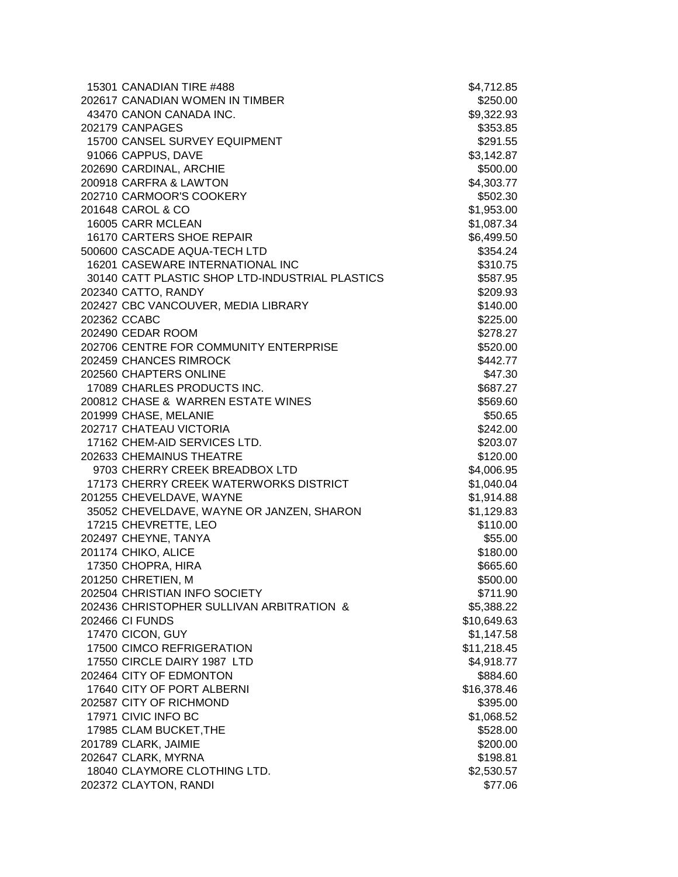| 15301 CANADIAN TIRE #488                        | \$4,712.85  |
|-------------------------------------------------|-------------|
| 202617 CANADIAN WOMEN IN TIMBER                 | \$250.00    |
| 43470 CANON CANADA INC.                         | \$9,322.93  |
| 202179 CANPAGES                                 | \$353.85    |
| 15700 CANSEL SURVEY EQUIPMENT                   | \$291.55    |
| 91066 CAPPUS, DAVE                              | \$3,142.87  |
| 202690 CARDINAL, ARCHIE                         | \$500.00    |
| 200918 CARFRA & LAWTON                          | \$4,303.77  |
| 202710 CARMOOR'S COOKERY                        | \$502.30    |
| 201648 CAROL & CO                               | \$1,953.00  |
| 16005 CARR MCLEAN                               | \$1,087.34  |
| 16170 CARTERS SHOE REPAIR                       | \$6,499.50  |
| 500600 CASCADE AQUA-TECH LTD                    | \$354.24    |
| 16201 CASEWARE INTERNATIONAL INC                | \$310.75    |
| 30140 CATT PLASTIC SHOP LTD-INDUSTRIAL PLASTICS | \$587.95    |
| 202340 CATTO, RANDY                             | \$209.93    |
| 202427 CBC VANCOUVER, MEDIA LIBRARY             | \$140.00    |
| 202362 CCABC                                    | \$225.00    |
| 202490 CEDAR ROOM                               | \$278.27    |
| 202706 CENTRE FOR COMMUNITY ENTERPRISE          | \$520.00    |
| 202459 CHANCES RIMROCK                          | \$442.77    |
| 202560 CHAPTERS ONLINE                          | \$47.30     |
| 17089 CHARLES PRODUCTS INC.                     | \$687.27    |
| 200812 CHASE & WARREN ESTATE WINES              | \$569.60    |
| 201999 CHASE, MELANIE                           | \$50.65     |
| 202717 CHATEAU VICTORIA                         | \$242.00    |
| 17162 CHEM-AID SERVICES LTD.                    | \$203.07    |
| 202633 CHEMAINUS THEATRE                        | \$120.00    |
| 9703 CHERRY CREEK BREADBOX LTD                  | \$4,006.95  |
| 17173 CHERRY CREEK WATERWORKS DISTRICT          | \$1,040.04  |
| 201255 CHEVELDAVE, WAYNE                        | \$1,914.88  |
| 35052 CHEVELDAVE, WAYNE OR JANZEN, SHARON       | \$1,129.83  |
| 17215 CHEVRETTE, LEO                            | \$110.00    |
| 202497 CHEYNE, TANYA                            | \$55.00     |
| 201174 CHIKO, ALICE                             | \$180.00    |
| 17350 CHOPRA, HIRA                              | \$665.60    |
| 201250 CHRETIEN, M                              | \$500.00    |
| 202504 CHRISTIAN INFO SOCIETY                   | \$711.90    |
| 202436 CHRISTOPHER SULLIVAN ARBITRATION &       | \$5,388.22  |
| 202466 CI FUNDS                                 | \$10,649.63 |
| 17470 CICON, GUY                                | \$1,147.58  |
| 17500 CIMCO REFRIGERATION                       | \$11,218.45 |
| 17550 CIRCLE DAIRY 1987 LTD                     | \$4,918.77  |
| 202464 CITY OF EDMONTON                         | \$884.60    |
| 17640 CITY OF PORT ALBERNI                      | \$16,378.46 |
| 202587 CITY OF RICHMOND                         | \$395.00    |
| 17971 CIVIC INFO BC                             | \$1,068.52  |
| 17985 CLAM BUCKET, THE                          | \$528.00    |
| 201789 CLARK, JAIMIE                            | \$200.00    |
| 202647 CLARK, MYRNA                             | \$198.81    |
| 18040 CLAYMORE CLOTHING LTD.                    | \$2,530.57  |
| 202372 CLAYTON, RANDI                           | \$77.06     |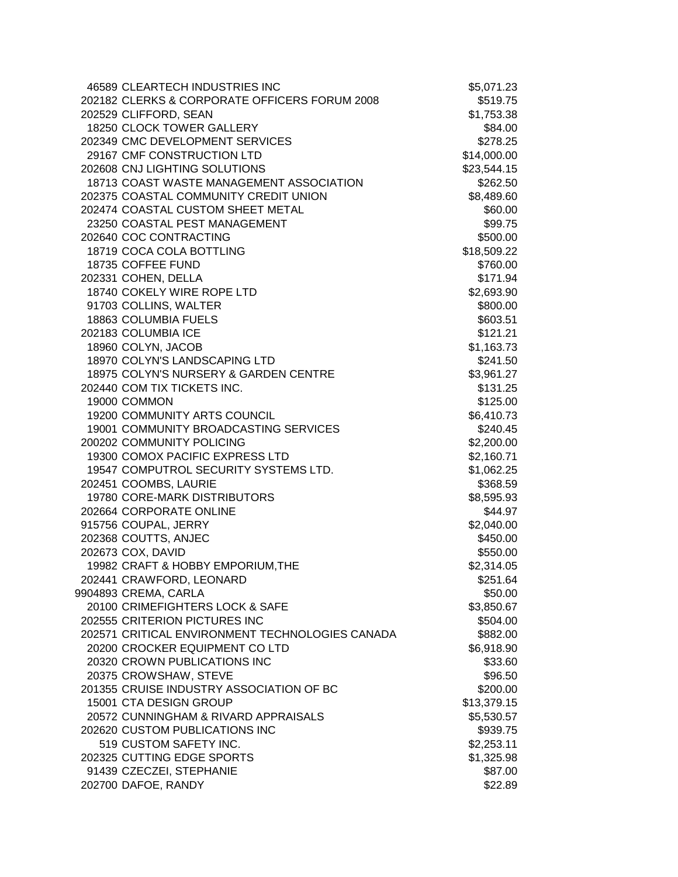| 46589 CLEARTECH INDUSTRIES INC                  | \$5,071.23  |
|-------------------------------------------------|-------------|
| 202182 CLERKS & CORPORATE OFFICERS FORUM 2008   | \$519.75    |
| 202529 CLIFFORD, SEAN                           | \$1,753.38  |
| 18250 CLOCK TOWER GALLERY                       | \$84.00     |
| 202349 CMC DEVELOPMENT SERVICES                 | \$278.25    |
| 29167 CMF CONSTRUCTION LTD                      | \$14,000.00 |
| 202608 CNJ LIGHTING SOLUTIONS                   | \$23,544.15 |
| 18713 COAST WASTE MANAGEMENT ASSOCIATION        | \$262.50    |
| 202375 COASTAL COMMUNITY CREDIT UNION           | \$8,489.60  |
| 202474 COASTAL CUSTOM SHEET METAL               | \$60.00     |
| 23250 COASTAL PEST MANAGEMENT                   | \$99.75     |
| 202640 COC CONTRACTING                          | \$500.00    |
| 18719 COCA COLA BOTTLING                        | \$18,509.22 |
| 18735 COFFEE FUND                               | \$760.00    |
| 202331 COHEN, DELLA                             | \$171.94    |
| 18740 COKELY WIRE ROPE LTD                      | \$2,693.90  |
| 91703 COLLINS, WALTER                           | \$800.00    |
| 18863 COLUMBIA FUELS                            | \$603.51    |
| 202183 COLUMBIA ICE                             | \$121.21    |
| 18960 COLYN, JACOB                              | \$1,163.73  |
| 18970 COLYN'S LANDSCAPING LTD                   | \$241.50    |
| 18975 COLYN'S NURSERY & GARDEN CENTRE           | \$3,961.27  |
| 202440 COM TIX TICKETS INC.                     | \$131.25    |
| 19000 COMMON                                    | \$125.00    |
| 19200 COMMUNITY ARTS COUNCIL                    | \$6,410.73  |
| 19001 COMMUNITY BROADCASTING SERVICES           | \$240.45    |
| 200202 COMMUNITY POLICING                       | \$2,200.00  |
| 19300 COMOX PACIFIC EXPRESS LTD                 | \$2,160.71  |
| 19547 COMPUTROL SECURITY SYSTEMS LTD.           | \$1,062.25  |
| 202451 COOMBS, LAURIE                           | \$368.59    |
| 19780 CORE-MARK DISTRIBUTORS                    | \$8,595.93  |
| 202664 CORPORATE ONLINE                         | \$44.97     |
| 915756 COUPAL, JERRY                            | \$2,040.00  |
| 202368 COUTTS, ANJEC                            | \$450.00    |
| 202673 COX, DAVID                               | \$550.00    |
| 19982 CRAFT & HOBBY EMPORIUM, THE               | \$2,314.05  |
| 202441 CRAWFORD, LEONARD                        | \$251.64    |
| 9904893 CREMA, CARLA                            | \$50.00     |
| 20100 CRIMEFIGHTERS LOCK & SAFE                 | \$3,850.67  |
| 202555 CRITERION PICTURES INC                   | \$504.00    |
| 202571 CRITICAL ENVIRONMENT TECHNOLOGIES CANADA | \$882.00    |
| 20200 CROCKER EQUIPMENT CO LTD                  | \$6,918.90  |
| 20320 CROWN PUBLICATIONS INC                    | \$33.60     |
| 20375 CROWSHAW, STEVE                           | \$96.50     |
| 201355 CRUISE INDUSTRY ASSOCIATION OF BC        | \$200.00    |
| 15001 CTA DESIGN GROUP                          | \$13,379.15 |
| 20572 CUNNINGHAM & RIVARD APPRAISALS            | \$5,530.57  |
| 202620 CUSTOM PUBLICATIONS INC                  | \$939.75    |
| 519 CUSTOM SAFETY INC.                          | \$2,253.11  |
| 202325 CUTTING EDGE SPORTS                      | \$1,325.98  |
| 91439 CZECZEI, STEPHANIE                        | \$87.00     |
| 202700 DAFOE, RANDY                             | \$22.89     |
|                                                 |             |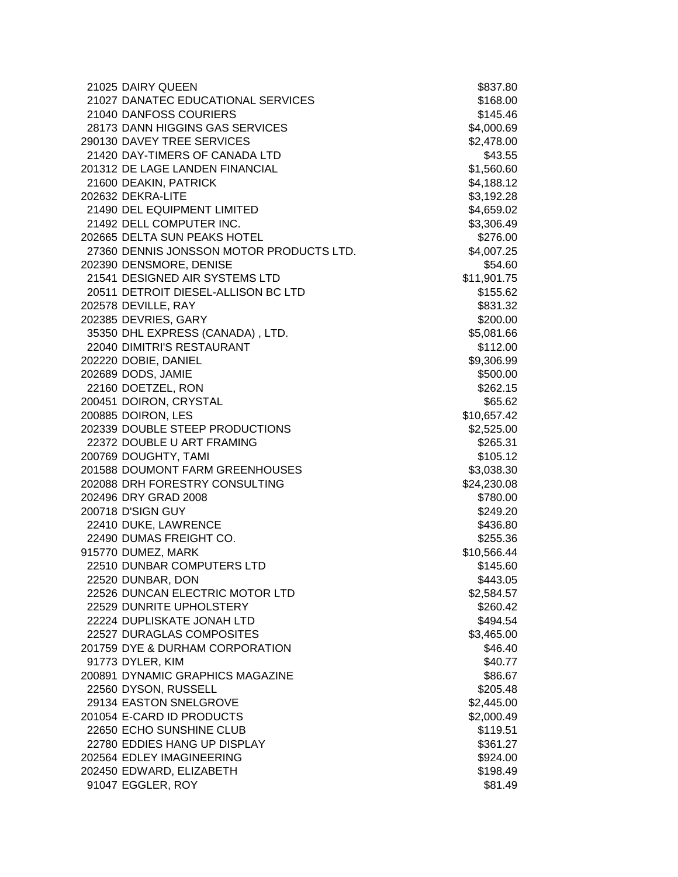| 21027 DANATEC EDUCATIONAL SERVICES                     | \$168.00 |
|--------------------------------------------------------|----------|
|                                                        |          |
| 21040 DANFOSS COURIERS                                 | \$145.46 |
| 28173 DANN HIGGINS GAS SERVICES<br>\$4,000.69          |          |
| 290130 DAVEY TREE SERVICES<br>\$2,478.00               |          |
| 21420 DAY-TIMERS OF CANADA LTD                         | \$43.55  |
| \$1,560.60<br>201312 DE LAGE LANDEN FINANCIAL          |          |
| 21600 DEAKIN, PATRICK<br>\$4,188.12                    |          |
| 202632 DEKRA-LITE<br>\$3,192.28                        |          |
| 21490 DEL EQUIPMENT LIMITED<br>\$4,659.02              |          |
| 21492 DELL COMPUTER INC.<br>\$3,306.49                 |          |
| 202665 DELTA SUN PEAKS HOTEL                           | \$276.00 |
| 27360 DENNIS JONSSON MOTOR PRODUCTS LTD.<br>\$4,007.25 |          |
| 202390 DENSMORE, DENISE                                | \$54.60  |
| 21541 DESIGNED AIR SYSTEMS LTD<br>\$11,901.75          |          |
| 20511 DETROIT DIESEL-ALLISON BC LTD                    | \$155.62 |
| 202578 DEVILLE, RAY                                    | \$831.32 |
| 202385 DEVRIES, GARY                                   | \$200.00 |
| 35350 DHL EXPRESS (CANADA), LTD.<br>\$5,081.66         |          |
| 22040 DIMITRI'S RESTAURANT                             | \$112.00 |
| 202220 DOBIE, DANIEL<br>\$9,306.99                     |          |
| 202689 DODS, JAMIE                                     | \$500.00 |
| 22160 DOETZEL, RON                                     | \$262.15 |
| 200451 DOIRON, CRYSTAL                                 | \$65.62  |
| 200885 DOIRON, LES<br>\$10,657.42                      |          |
| 202339 DOUBLE STEEP PRODUCTIONS<br>\$2,525.00          |          |
| 22372 DOUBLE U ART FRAMING                             | \$265.31 |
| 200769 DOUGHTY, TAMI                                   | \$105.12 |
| 201588 DOUMONT FARM GREENHOUSES<br>\$3,038.30          |          |
| \$24,230.08<br>202088 DRH FORESTRY CONSULTING          |          |
| 202496 DRY GRAD 2008                                   | \$780.00 |
| 200718 D'SIGN GUY                                      | \$249.20 |
| 22410 DUKE, LAWRENCE                                   | \$436.80 |
| 22490 DUMAS FREIGHT CO.                                | \$255.36 |
| 915770 DUMEZ, MARK<br>\$10,566.44                      |          |
| 22510 DUNBAR COMPUTERS LTD                             | \$145.60 |
| 22520 DUNBAR, DON                                      | \$443.05 |
| 22526 DUNCAN ELECTRIC MOTOR LTD<br>\$2,584.57          |          |
| 22529 DUNRITE UPHOLSTERY                               | \$260.42 |
| 22224 DUPLISKATE JONAH LTD                             | \$494.54 |
| 22527 DURAGLAS COMPOSITES<br>\$3,465.00                |          |
| 201759 DYE & DURHAM CORPORATION                        | \$46.40  |
| 91773 DYLER, KIM                                       | \$40.77  |
| 200891 DYNAMIC GRAPHICS MAGAZINE                       | \$86.67  |
| 22560 DYSON, RUSSELL                                   | \$205.48 |
| 29134 EASTON SNELGROVE<br>\$2,445.00                   |          |
| 201054 E-CARD ID PRODUCTS<br>\$2,000.49                |          |
| 22650 ECHO SUNSHINE CLUB                               | \$119.51 |
| 22780 EDDIES HANG UP DISPLAY                           | \$361.27 |
| 202564 EDLEY IMAGINEERING                              | \$924.00 |
| 202450 EDWARD, ELIZABETH                               | \$198.49 |
| 91047 EGGLER, ROY                                      | \$81.49  |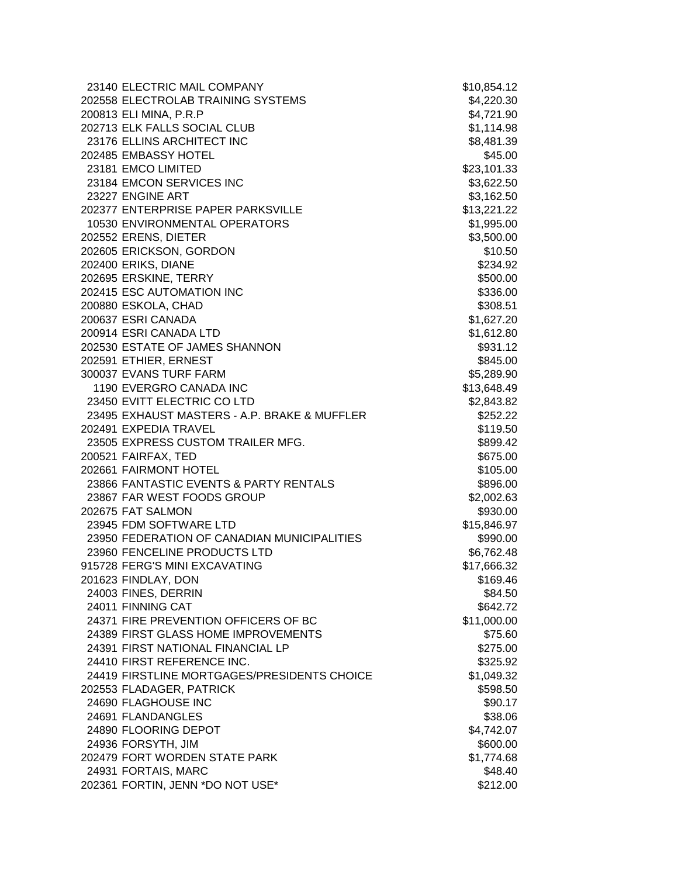| 23140 ELECTRIC MAIL COMPANY                  | \$10,854.12 |
|----------------------------------------------|-------------|
| 202558 ELECTROLAB TRAINING SYSTEMS           | \$4,220.30  |
| 200813 ELI MINA, P.R.P                       | \$4,721.90  |
| 202713 ELK FALLS SOCIAL CLUB                 | \$1,114.98  |
| 23176 ELLINS ARCHITECT INC                   | \$8,481.39  |
| 202485 EMBASSY HOTEL                         | \$45.00     |
| 23181 EMCO LIMITED                           | \$23,101.33 |
| 23184 EMCON SERVICES INC                     | \$3,622.50  |
| 23227 ENGINE ART                             | \$3,162.50  |
| 202377 ENTERPRISE PAPER PARKSVILLE           | \$13,221.22 |
| 10530 ENVIRONMENTAL OPERATORS                | \$1,995.00  |
| 202552 ERENS, DIETER                         | \$3,500.00  |
| 202605 ERICKSON, GORDON                      | \$10.50     |
| 202400 ERIKS, DIANE                          | \$234.92    |
| 202695 ERSKINE, TERRY                        | \$500.00    |
| 202415 ESC AUTOMATION INC                    | \$336.00    |
| 200880 ESKOLA, CHAD                          | \$308.51    |
| 200637 ESRI CANADA                           | \$1,627.20  |
| 200914 ESRI CANADA LTD                       | \$1,612.80  |
| 202530 ESTATE OF JAMES SHANNON               | \$931.12    |
| 202591 ETHIER, ERNEST                        | \$845.00    |
| 300037 EVANS TURF FARM                       | \$5,289.90  |
| 1190 EVERGRO CANADA INC                      | \$13,648.49 |
| 23450 EVITT ELECTRIC CO LTD                  | \$2,843.82  |
| 23495 EXHAUST MASTERS - A.P. BRAKE & MUFFLER | \$252.22    |
| 202491 EXPEDIA TRAVEL                        | \$119.50    |
| 23505 EXPRESS CUSTOM TRAILER MFG.            | \$899.42    |
| 200521 FAIRFAX, TED                          | \$675.00    |
| 202661 FAIRMONT HOTEL                        | \$105.00    |
| 23866 FANTASTIC EVENTS & PARTY RENTALS       | \$896.00    |
| 23867 FAR WEST FOODS GROUP                   | \$2,002.63  |
| 202675 FAT SALMON                            | \$930.00    |
| 23945 FDM SOFTWARE LTD                       | \$15,846.97 |
| 23950 FEDERATION OF CANADIAN MUNICIPALITIES  | \$990.00    |
| 23960 FENCELINE PRODUCTS LTD                 | \$6,762.48  |
| 915728 FERG'S MINI EXCAVATING                | \$17,666.32 |
| 201623 FINDLAY, DON                          | \$169.46    |
| 24003 FINES, DERRIN                          | \$84.50     |
| 24011 FINNING CAT                            | \$642.72    |
| 24371 FIRE PREVENTION OFFICERS OF BC         | \$11,000.00 |
| 24389 FIRST GLASS HOME IMPROVEMENTS          | \$75.60     |
| 24391 FIRST NATIONAL FINANCIAL LP            | \$275.00    |
| 24410 FIRST REFERENCE INC.                   | \$325.92    |
| 24419 FIRSTLINE MORTGAGES/PRESIDENTS CHOICE  | \$1,049.32  |
| 202553 FLADAGER, PATRICK                     | \$598.50    |
| 24690 FLAGHOUSE INC                          | \$90.17     |
| 24691 FLANDANGLES                            | \$38.06     |
| 24890 FLOORING DEPOT                         | \$4,742.07  |
| 24936 FORSYTH, JIM                           | \$600.00    |
| 202479 FORT WORDEN STATE PARK                | \$1,774.68  |
| 24931 FORTAIS, MARC                          | \$48.40     |
| 202361 FORTIN, JENN *DO NOT USE*             | \$212.00    |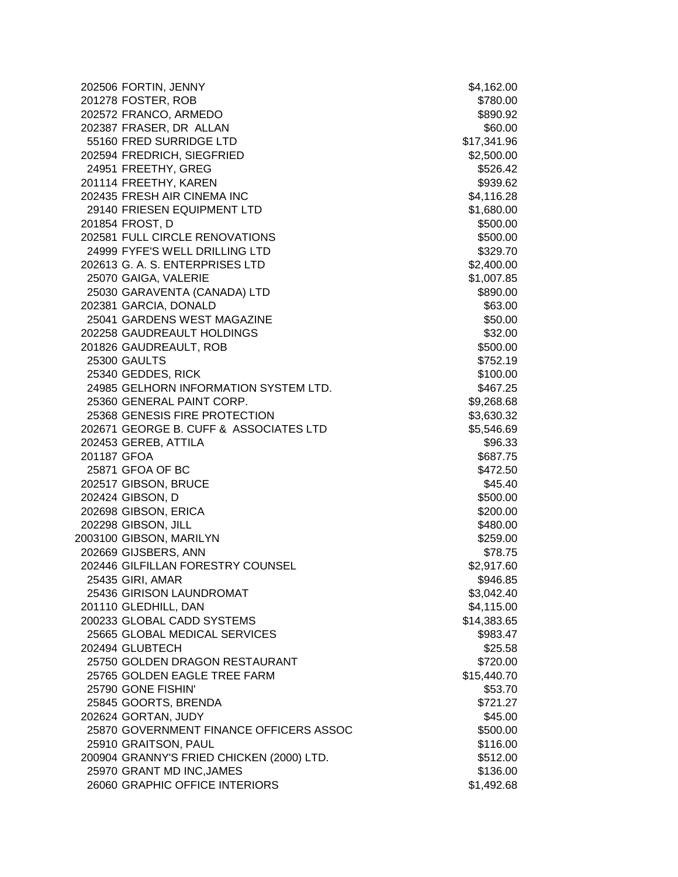| 202506 FORTIN, JENNY                      | \$4,162.00  |
|-------------------------------------------|-------------|
| 201278 FOSTER, ROB                        | \$780.00    |
| 202572 FRANCO, ARMEDO                     | \$890.92    |
| 202387 FRASER, DR ALLAN                   | \$60.00     |
| 55160 FRED SURRIDGE LTD                   | \$17,341.96 |
| 202594 FREDRICH, SIEGFRIED                | \$2,500.00  |
| 24951 FREETHY, GREG                       | \$526.42    |
| 201114 FREETHY, KAREN                     | \$939.62    |
| 202435 FRESH AIR CINEMA INC               | \$4,116.28  |
| 29140 FRIESEN EQUIPMENT LTD               | \$1,680.00  |
| 201854 FROST, D                           | \$500.00    |
| 202581 FULL CIRCLE RENOVATIONS            | \$500.00    |
| 24999 FYFE'S WELL DRILLING LTD            | \$329.70    |
| 202613 G. A. S. ENTERPRISES LTD           | \$2,400.00  |
| 25070 GAIGA, VALERIE                      | \$1,007.85  |
| 25030 GARAVENTA (CANADA) LTD              | \$890.00    |
| 202381 GARCIA, DONALD                     | \$63.00     |
| 25041 GARDENS WEST MAGAZINE               | \$50.00     |
| 202258 GAUDREAULT HOLDINGS                | \$32.00     |
| 201826 GAUDREAULT, ROB                    | \$500.00    |
| <b>25300 GAULTS</b>                       | \$752.19    |
| 25340 GEDDES, RICK                        | \$100.00    |
| 24985 GELHORN INFORMATION SYSTEM LTD.     | \$467.25    |
| 25360 GENERAL PAINT CORP.                 | \$9,268.68  |
| 25368 GENESIS FIRE PROTECTION             | \$3,630.32  |
| 202671 GEORGE B. CUFF & ASSOCIATES LTD    | \$5,546.69  |
| 202453 GEREB, ATTILA                      | \$96.33     |
| 201187 GFOA                               | \$687.75    |
| 25871 GFOA OF BC                          | \$472.50    |
| 202517 GIBSON, BRUCE                      | \$45.40     |
| 202424 GIBSON, D                          | \$500.00    |
| 202698 GIBSON, ERICA                      | \$200.00    |
| 202298 GIBSON, JILL                       | \$480.00    |
| 2003100 GIBSON, MARILYN                   | \$259.00    |
| 202669 GIJSBERS, ANN                      | \$78.75     |
| 202446 GILFILLAN FORESTRY COUNSEL         | \$2,917.60  |
| 25435 GIRI, AMAR                          | \$946.85    |
| 25436 GIRISON LAUNDROMAT                  | \$3,042.40  |
| 201110 GLEDHILL, DAN                      | \$4,115.00  |
| 200233 GLOBAL CADD SYSTEMS                | \$14,383.65 |
| 25665 GLOBAL MEDICAL SERVICES             | \$983.47    |
| 202494 GLUBTECH                           | \$25.58     |
| 25750 GOLDEN DRAGON RESTAURANT            | \$720.00    |
| 25765 GOLDEN EAGLE TREE FARM              | \$15,440.70 |
| 25790 GONE FISHIN'                        | \$53.70     |
| 25845 GOORTS, BRENDA                      | \$721.27    |
| 202624 GORTAN, JUDY                       | \$45.00     |
| 25870 GOVERNMENT FINANCE OFFICERS ASSOC   | \$500.00    |
| 25910 GRAITSON, PAUL                      | \$116.00    |
| 200904 GRANNY'S FRIED CHICKEN (2000) LTD. | \$512.00    |
| 25970 GRANT MD INC, JAMES                 | \$136.00    |
| 26060 GRAPHIC OFFICE INTERIORS            | \$1,492.68  |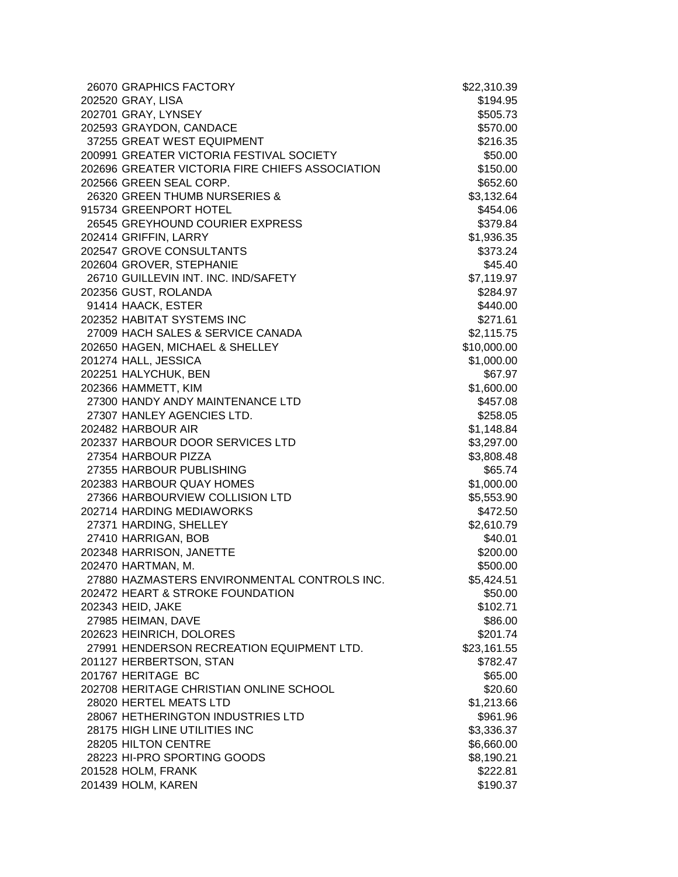| 26070 GRAPHICS FACTORY                          | \$22,310.39 |
|-------------------------------------------------|-------------|
| 202520 GRAY, LISA                               | \$194.95    |
| 202701 GRAY, LYNSEY                             | \$505.73    |
| 202593 GRAYDON, CANDACE                         | \$570.00    |
| 37255 GREAT WEST EQUIPMENT                      | \$216.35    |
| 200991 GREATER VICTORIA FESTIVAL SOCIETY        | \$50.00     |
| 202696 GREATER VICTORIA FIRE CHIEFS ASSOCIATION | \$150.00    |
| 202566 GREEN SEAL CORP.                         | \$652.60    |
| 26320 GREEN THUMB NURSERIES &                   | \$3,132.64  |
| 915734 GREENPORT HOTEL                          | \$454.06    |
| 26545 GREYHOUND COURIER EXPRESS                 | \$379.84    |
| 202414 GRIFFIN, LARRY                           | \$1,936.35  |
| 202547 GROVE CONSULTANTS                        | \$373.24    |
| 202604 GROVER, STEPHANIE                        | \$45.40     |
| 26710 GUILLEVIN INT. INC. IND/SAFETY            | \$7,119.97  |
| 202356 GUST, ROLANDA                            | \$284.97    |
| 91414 HAACK, ESTER                              | \$440.00    |
| 202352 HABITAT SYSTEMS INC                      | \$271.61    |
| 27009 HACH SALES & SERVICE CANADA               | \$2,115.75  |
| 202650 HAGEN, MICHAEL & SHELLEY                 | \$10,000.00 |
| 201274 HALL, JESSICA                            | \$1,000.00  |
| 202251 HALYCHUK, BEN                            | \$67.97     |
| 202366 HAMMETT, KIM                             | \$1,600.00  |
| 27300 HANDY ANDY MAINTENANCE LTD                | \$457.08    |
| 27307 HANLEY AGENCIES LTD.                      | \$258.05    |
| 202482 HARBOUR AIR                              | \$1,148.84  |
| 202337 HARBOUR DOOR SERVICES LTD                | \$3,297.00  |
| 27354 HARBOUR PIZZA                             | \$3,808.48  |
| 27355 HARBOUR PUBLISHING                        | \$65.74     |
| 202383 HARBOUR QUAY HOMES                       | \$1,000.00  |
| 27366 HARBOURVIEW COLLISION LTD                 | \$5,553.90  |
| 202714 HARDING MEDIAWORKS                       | \$472.50    |
| 27371 HARDING, SHELLEY                          | \$2,610.79  |
| 27410 HARRIGAN, BOB                             | \$40.01     |
| 202348 HARRISON, JANETTE                        | \$200.00    |
| 202470 HARTMAN, M.                              | \$500.00    |
| 27880 HAZMASTERS ENVIRONMENTAL CONTROLS INC.    | \$5,424.51  |
| 202472 HEART & STROKE FOUNDATION                | \$50.00     |
| 202343 HEID, JAKE                               | \$102.71    |
| 27985 HEIMAN, DAVE                              | \$86.00     |
| 202623 HEINRICH, DOLORES                        | \$201.74    |
| 27991 HENDERSON RECREATION EQUIPMENT LTD.       | \$23,161.55 |
| 201127 HERBERTSON, STAN                         | \$782.47    |
| 201767 HERITAGE BC                              | \$65.00     |
| 202708 HERITAGE CHRISTIAN ONLINE SCHOOL         | \$20.60     |
| 28020 HERTEL MEATS LTD                          | \$1,213.66  |
| 28067 HETHERINGTON INDUSTRIES LTD               | \$961.96    |
| 28175 HIGH LINE UTILITIES INC                   | \$3,336.37  |
| 28205 HILTON CENTRE                             | \$6,660.00  |
| 28223 HI-PRO SPORTING GOODS                     | \$8,190.21  |
| 201528 HOLM, FRANK                              | \$222.81    |
| 201439 HOLM, KAREN                              | \$190.37    |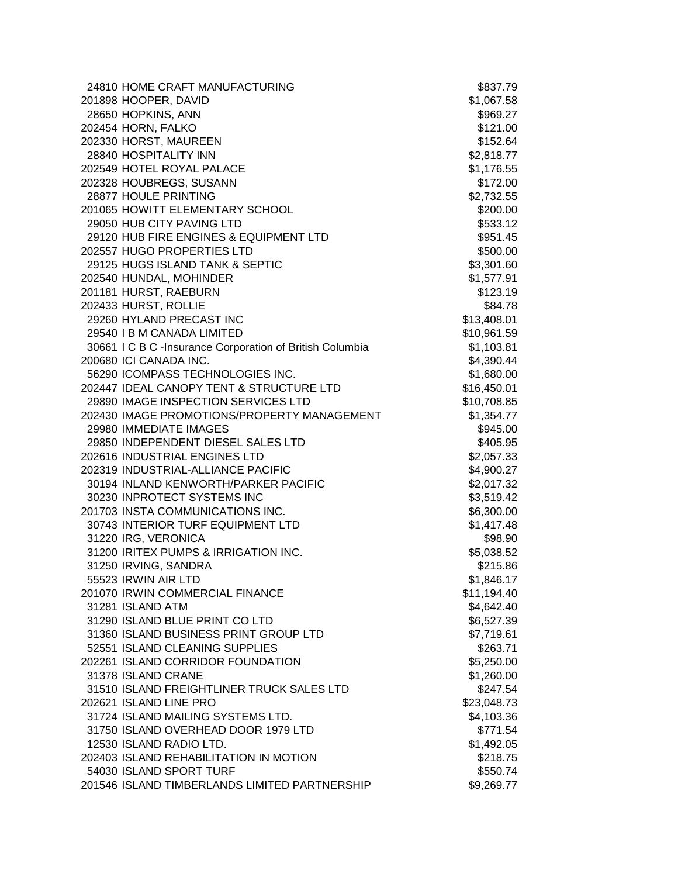| 24810 HOME CRAFT MANUFACTURING                           | \$837.79    |
|----------------------------------------------------------|-------------|
| 201898 HOOPER, DAVID                                     | \$1,067.58  |
| 28650 HOPKINS, ANN                                       | \$969.27    |
| 202454 HORN, FALKO                                       | \$121.00    |
| 202330 HORST, MAUREEN                                    | \$152.64    |
| 28840 HOSPITALITY INN                                    | \$2,818.77  |
| 202549 HOTEL ROYAL PALACE                                | \$1,176.55  |
| 202328 HOUBREGS, SUSANN                                  | \$172.00    |
| 28877 HOULE PRINTING                                     | \$2,732.55  |
| 201065 HOWITT ELEMENTARY SCHOOL                          | \$200.00    |
| 29050 HUB CITY PAVING LTD                                | \$533.12    |
| 29120 HUB FIRE ENGINES & EQUIPMENT LTD                   | \$951.45    |
| 202557 HUGO PROPERTIES LTD                               | \$500.00    |
| 29125 HUGS ISLAND TANK & SEPTIC                          | \$3,301.60  |
| 202540 HUNDAL, MOHINDER                                  | \$1,577.91  |
| 201181 HURST, RAEBURN                                    | \$123.19    |
| 202433 HURST, ROLLIE                                     | \$84.78     |
| 29260 HYLAND PRECAST INC                                 | \$13,408.01 |
| 29540 I B M CANADA LIMITED                               | \$10,961.59 |
| 30661 I C B C -Insurance Corporation of British Columbia | \$1,103.81  |
| 200680 ICI CANADA INC.                                   | \$4,390.44  |
| 56290 ICOMPASS TECHNOLOGIES INC.                         | \$1,680.00  |
| 202447 IDEAL CANOPY TENT & STRUCTURE LTD                 | \$16,450.01 |
| 29890 IMAGE INSPECTION SERVICES LTD                      | \$10,708.85 |
| 202430 IMAGE PROMOTIONS/PROPERTY MANAGEMENT              | \$1,354.77  |
| 29980 IMMEDIATE IMAGES                                   | \$945.00    |
| 29850 INDEPENDENT DIESEL SALES LTD                       | \$405.95    |
| 202616 INDUSTRIAL ENGINES LTD                            | \$2,057.33  |
| 202319 INDUSTRIAL-ALLIANCE PACIFIC                       | \$4,900.27  |
| 30194 INLAND KENWORTH/PARKER PACIFIC                     | \$2,017.32  |
| 30230 INPROTECT SYSTEMS INC                              | \$3,519.42  |
| 201703 INSTA COMMUNICATIONS INC.                         | \$6,300.00  |
| 30743 INTERIOR TURF EQUIPMENT LTD                        | \$1,417.48  |
| 31220 IRG, VERONICA                                      | \$98.90     |
| 31200 IRITEX PUMPS & IRRIGATION INC.                     | \$5,038.52  |
| 31250 IRVING, SANDRA                                     | \$215.86    |
| 55523 IRWIN AIR LTD                                      | \$1,846.17  |
| 201070 IRWIN COMMERCIAL FINANCE                          | \$11,194.40 |
| 31281 ISLAND ATM                                         | \$4,642.40  |
| 31290 ISLAND BLUE PRINT CO LTD                           | \$6,527.39  |
| 31360 ISLAND BUSINESS PRINT GROUP LTD                    | \$7,719.61  |
| 52551 ISLAND CLEANING SUPPLIES                           | \$263.71    |
| 202261 ISLAND CORRIDOR FOUNDATION                        | \$5,250.00  |
| 31378 ISLAND CRANE                                       | \$1,260.00  |
| 31510 ISLAND FREIGHTLINER TRUCK SALES LTD                | \$247.54    |
| 202621 ISLAND LINE PRO                                   | \$23,048.73 |
| 31724 ISLAND MAILING SYSTEMS LTD.                        | \$4,103.36  |
| 31750 ISLAND OVERHEAD DOOR 1979 LTD                      | \$771.54    |
| 12530 ISLAND RADIO LTD.                                  | \$1,492.05  |
| 202403 ISLAND REHABILITATION IN MOTION                   | \$218.75    |
| 54030 ISLAND SPORT TURF                                  | \$550.74    |
| 201546 ISLAND TIMBERLANDS LIMITED PARTNERSHIP            | \$9,269.77  |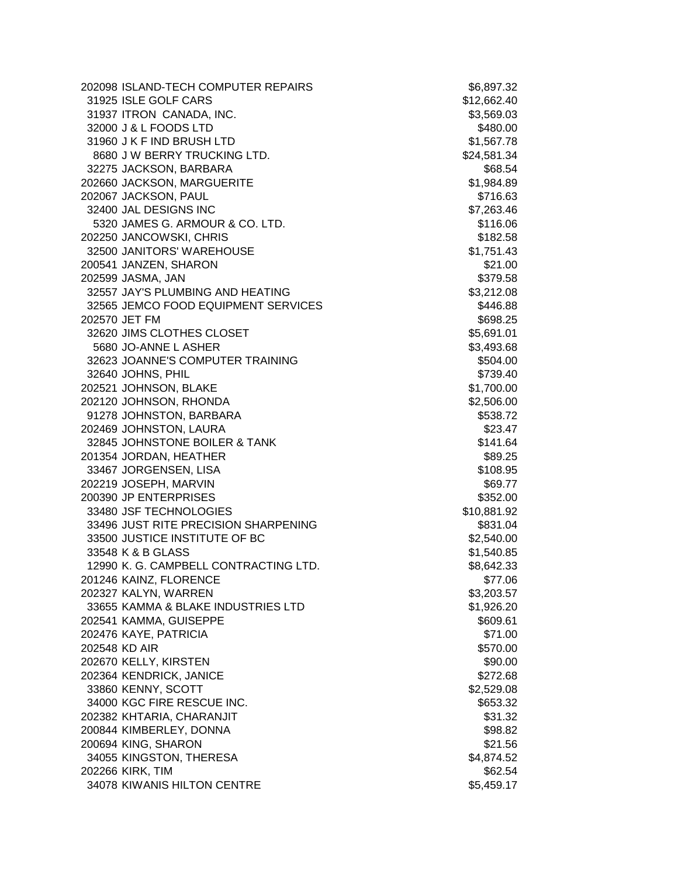|               | 202098 ISLAND-TECH COMPUTER REPAIRS   | \$6,897.32  |
|---------------|---------------------------------------|-------------|
|               | 31925 ISLE GOLF CARS                  | \$12,662.40 |
|               | 31937 ITRON CANADA, INC.              | \$3,569.03  |
|               | 32000 J & L FOODS LTD                 | \$480.00    |
|               | 31960 J K F IND BRUSH LTD             | \$1,567.78  |
|               | 8680 J W BERRY TRUCKING LTD.          | \$24,581.34 |
|               | 32275 JACKSON, BARBARA                | \$68.54     |
|               | 202660 JACKSON, MARGUERITE            | \$1,984.89  |
|               | 202067 JACKSON, PAUL                  | \$716.63    |
|               | 32400 JAL DESIGNS INC                 | \$7,263.46  |
|               | 5320 JAMES G. ARMOUR & CO. LTD.       | \$116.06    |
|               | 202250 JANCOWSKI, CHRIS               | \$182.58    |
|               | 32500 JANITORS' WAREHOUSE             | \$1,751.43  |
|               | 200541 JANZEN, SHARON                 | \$21.00     |
|               | 202599 JASMA, JAN                     | \$379.58    |
|               | 32557 JAY'S PLUMBING AND HEATING      | \$3,212.08  |
|               | 32565 JEMCO FOOD EQUIPMENT SERVICES   | \$446.88    |
|               | 202570 JET FM                         | \$698.25    |
|               | 32620 JIMS CLOTHES CLOSET             | \$5,691.01  |
|               | 5680 JO-ANNE L ASHER                  | \$3,493.68  |
|               | 32623 JOANNE'S COMPUTER TRAINING      | \$504.00    |
|               | 32640 JOHNS, PHIL                     | \$739.40    |
|               | 202521 JOHNSON, BLAKE                 | \$1,700.00  |
|               | 202120 JOHNSON, RHONDA                | \$2,506.00  |
|               | 91278 JOHNSTON, BARBARA               | \$538.72    |
|               | 202469 JOHNSTON, LAURA                | \$23.47     |
|               | 32845 JOHNSTONE BOILER & TANK         | \$141.64    |
|               | 201354 JORDAN, HEATHER                | \$89.25     |
|               | 33467 JORGENSEN, LISA                 | \$108.95    |
|               | 202219 JOSEPH, MARVIN                 | \$69.77     |
|               | 200390 JP ENTERPRISES                 | \$352.00    |
|               | 33480 JSF TECHNOLOGIES                | \$10,881.92 |
|               | 33496 JUST RITE PRECISION SHARPENING  | \$831.04    |
|               | 33500 JUSTICE INSTITUTE OF BC         | \$2,540.00  |
|               | 33548 K & B GLASS                     | \$1,540.85  |
|               | 12990 K. G. CAMPBELL CONTRACTING LTD. | \$8,642.33  |
|               | 201246 KAINZ, FLORENCE                | \$77.06     |
|               | 202327 KALYN, WARREN                  | \$3,203.57  |
|               | 33655 KAMMA & BLAKE INDUSTRIES LTD    | \$1,926.20  |
|               | 202541 KAMMA, GUISEPPE                | \$609.61    |
|               | 202476 KAYE, PATRICIA                 | \$71.00     |
| 202548 KD AIR |                                       | \$570.00    |
|               | 202670 KELLY, KIRSTEN                 | \$90.00     |
|               | 202364 KENDRICK, JANICE               | \$272.68    |
|               | 33860 KENNY, SCOTT                    | \$2,529.08  |
|               | 34000 KGC FIRE RESCUE INC.            | \$653.32    |
|               | 202382 KHTARIA, CHARANJIT             | \$31.32     |
|               | 200844 KIMBERLEY, DONNA               | \$98.82     |
|               | 200694 KING, SHARON                   | \$21.56     |
|               | 34055 KINGSTON, THERESA               | \$4,874.52  |
|               | 202266 KIRK, TIM                      | \$62.54     |
|               | 34078 KIWANIS HILTON CENTRE           | \$5,459.17  |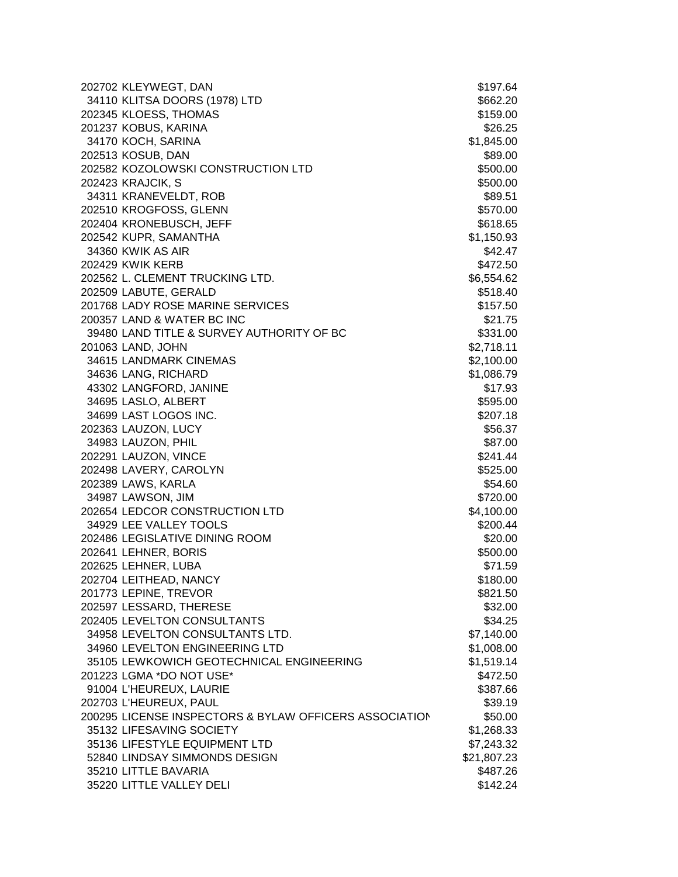| 202702 KLEYWEGT, DAN                                   | \$197.64    |
|--------------------------------------------------------|-------------|
| 34110 KLITSA DOORS (1978) LTD                          | \$662.20    |
| 202345 KLOESS, THOMAS                                  | \$159.00    |
| 201237 KOBUS, KARINA                                   | \$26.25     |
| 34170 KOCH, SARINA                                     | \$1,845.00  |
| 202513 KOSUB, DAN                                      | \$89.00     |
| 202582 KOZOLOWSKI CONSTRUCTION LTD                     | \$500.00    |
| 202423 KRAJCIK, S                                      | \$500.00    |
| 34311 KRANEVELDT, ROB                                  | \$89.51     |
| 202510 KROGFOSS, GLENN                                 | \$570.00    |
| 202404 KRONEBUSCH, JEFF                                | \$618.65    |
| 202542 KUPR, SAMANTHA                                  | \$1,150.93  |
| 34360 KWIK AS AIR                                      | \$42.47     |
| 202429 KWIK KERB                                       | \$472.50    |
| 202562 L. CLEMENT TRUCKING LTD.                        | \$6,554.62  |
| 202509 LABUTE, GERALD                                  | \$518.40    |
| 201768 LADY ROSE MARINE SERVICES                       | \$157.50    |
| 200357 LAND & WATER BC INC                             | \$21.75     |
| 39480 LAND TITLE & SURVEY AUTHORITY OF BC              | \$331.00    |
| 201063 LAND, JOHN                                      | \$2,718.11  |
| 34615 LANDMARK CINEMAS                                 | \$2,100.00  |
| 34636 LANG, RICHARD                                    | \$1,086.79  |
| 43302 LANGFORD, JANINE                                 | \$17.93     |
| 34695 LASLO, ALBERT                                    | \$595.00    |
| 34699 LAST LOGOS INC.                                  | \$207.18    |
| 202363 LAUZON, LUCY                                    | \$56.37     |
| 34983 LAUZON, PHIL                                     | \$87.00     |
| 202291 LAUZON, VINCE                                   | \$241.44    |
| 202498 LAVERY, CAROLYN                                 | \$525.00    |
| 202389 LAWS, KARLA                                     | \$54.60     |
| 34987 LAWSON, JIM                                      | \$720.00    |
| 202654 LEDCOR CONSTRUCTION LTD                         | \$4,100.00  |
| 34929 LEE VALLEY TOOLS                                 | \$200.44    |
| 202486 LEGISLATIVE DINING ROOM                         | \$20.00     |
| 202641 LEHNER, BORIS                                   | \$500.00    |
| 202625 LEHNER, LUBA                                    | \$71.59     |
| 202704 LEITHEAD, NANCY                                 | \$180.00    |
| 201773 LEPINE, TREVOR                                  | \$821.50    |
| 202597 LESSARD, THERESE                                | \$32.00     |
| 202405 LEVELTON CONSULTANTS                            | \$34.25     |
| 34958 LEVELTON CONSULTANTS LTD.                        | \$7,140.00  |
| 34960 LEVELTON ENGINEERING LTD                         | \$1,008.00  |
| 35105 LEWKOWICH GEOTECHNICAL ENGINEERING               | \$1,519.14  |
| 201223 LGMA *DO NOT USE*                               | \$472.50    |
| 91004 L'HEUREUX, LAURIE                                | \$387.66    |
| 202703 L'HEUREUX, PAUL                                 | \$39.19     |
| 200295 LICENSE INSPECTORS & BYLAW OFFICERS ASSOCIATION | \$50.00     |
| 35132 LIFESAVING SOCIETY                               | \$1,268.33  |
| 35136 LIFESTYLE EQUIPMENT LTD                          | \$7,243.32  |
| 52840 LINDSAY SIMMONDS DESIGN                          | \$21,807.23 |
| 35210 LITTLE BAVARIA                                   | \$487.26    |
| 35220 LITTLE VALLEY DELI                               | \$142.24    |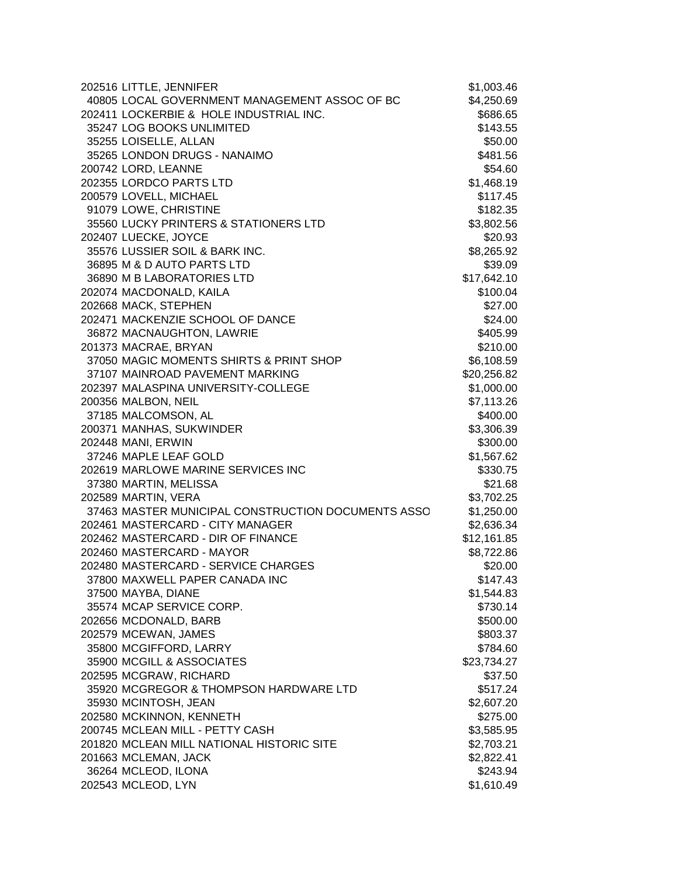| 202516 LITTLE, JENNIFER                            | \$1,003.46  |
|----------------------------------------------------|-------------|
| 40805 LOCAL GOVERNMENT MANAGEMENT ASSOC OF BC      | \$4,250.69  |
| 202411 LOCKERBIE & HOLE INDUSTRIAL INC.            | \$686.65    |
| 35247 LOG BOOKS UNLIMITED                          | \$143.55    |
| 35255 LOISELLE, ALLAN                              | \$50.00     |
| 35265 LONDON DRUGS - NANAIMO                       | \$481.56    |
| 200742 LORD, LEANNE                                | \$54.60     |
| 202355 LORDCO PARTS LTD                            | \$1,468.19  |
| 200579 LOVELL, MICHAEL                             | \$117.45    |
| 91079 LOWE, CHRISTINE                              | \$182.35    |
| 35560 LUCKY PRINTERS & STATIONERS LTD              | \$3,802.56  |
| 202407 LUECKE, JOYCE                               | \$20.93     |
| 35576 LUSSIER SOIL & BARK INC.                     | \$8,265.92  |
| 36895 M & D AUTO PARTS LTD                         | \$39.09     |
| 36890 M B LABORATORIES LTD                         | \$17,642.10 |
| 202074 MACDONALD, KAILA                            | \$100.04    |
| 202668 MACK, STEPHEN                               | \$27.00     |
| 202471 MACKENZIE SCHOOL OF DANCE                   | \$24.00     |
| 36872 MACNAUGHTON, LAWRIE                          | \$405.99    |
| 201373 MACRAE, BRYAN                               | \$210.00    |
| 37050 MAGIC MOMENTS SHIRTS & PRINT SHOP            | \$6,108.59  |
| 37107 MAINROAD PAVEMENT MARKING                    | \$20,256.82 |
| 202397 MALASPINA UNIVERSITY-COLLEGE                | \$1,000.00  |
| 200356 MALBON, NEIL                                | \$7,113.26  |
| 37185 MALCOMSON, AL                                | \$400.00    |
| 200371 MANHAS, SUKWINDER                           | \$3,306.39  |
| 202448 MANI, ERWIN                                 | \$300.00    |
| 37246 MAPLE LEAF GOLD                              | \$1,567.62  |
| 202619 MARLOWE MARINE SERVICES INC                 | \$330.75    |
| 37380 MARTIN, MELISSA                              | \$21.68     |
| 202589 MARTIN, VERA                                | \$3,702.25  |
| 37463 MASTER MUNICIPAL CONSTRUCTION DOCUMENTS ASSO | \$1,250.00  |
| 202461 MASTERCARD - CITY MANAGER                   | \$2,636.34  |
| 202462 MASTERCARD - DIR OF FINANCE                 | \$12,161.85 |
| 202460 MASTERCARD - MAYOR                          | \$8,722.86  |
| 202480 MASTERCARD - SERVICE CHARGES                | \$20.00     |
| 37800 MAXWELL PAPER CANADA INC                     | \$147.43    |
| 37500 MAYBA, DIANE                                 | \$1,544.83  |
| 35574 MCAP SERVICE CORP.                           | \$730.14    |
| 202656 MCDONALD, BARB                              | \$500.00    |
| 202579 MCEWAN, JAMES                               | \$803.37    |
| 35800 MCGIFFORD, LARRY                             | \$784.60    |
| 35900 MCGILL & ASSOCIATES                          | \$23,734.27 |
| 202595 MCGRAW, RICHARD                             | \$37.50     |
| 35920 MCGREGOR & THOMPSON HARDWARE LTD             | \$517.24    |
| 35930 MCINTOSH, JEAN                               | \$2,607.20  |
| 202580 MCKINNON, KENNETH                           | \$275.00    |
| 200745 MCLEAN MILL - PETTY CASH                    | \$3,585.95  |
| 201820 MCLEAN MILL NATIONAL HISTORIC SITE          | \$2,703.21  |
| 201663 MCLEMAN, JACK                               | \$2,822.41  |
| 36264 MCLEOD, ILONA                                | \$243.94    |
| 202543 MCLEOD, LYN                                 | \$1,610.49  |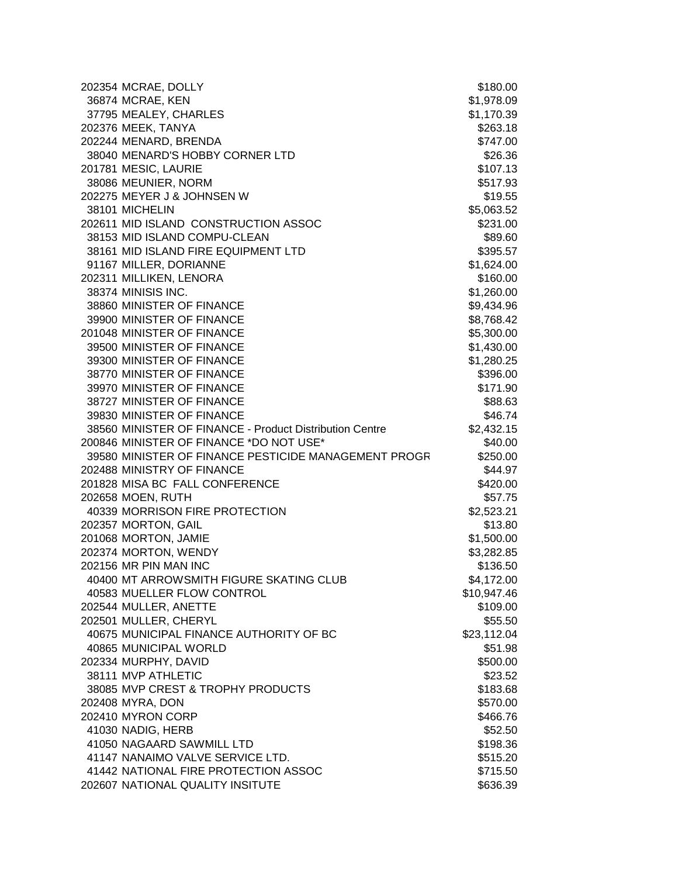| 202354 MCRAE, DOLLY                                     | \$180.00    |
|---------------------------------------------------------|-------------|
| 36874 MCRAE, KEN                                        | \$1,978.09  |
| 37795 MEALEY, CHARLES                                   | \$1,170.39  |
| 202376 MEEK, TANYA                                      | \$263.18    |
| 202244 MENARD, BRENDA                                   | \$747.00    |
| 38040 MENARD'S HOBBY CORNER LTD                         | \$26.36     |
| 201781 MESIC, LAURIE                                    | \$107.13    |
| 38086 MEUNIER, NORM                                     | \$517.93    |
| 202275 MEYER J & JOHNSEN W                              | \$19.55     |
| 38101 MICHELIN                                          | \$5,063.52  |
| 202611 MID ISLAND CONSTRUCTION ASSOC                    | \$231.00    |
| 38153 MID ISLAND COMPU-CLEAN                            | \$89.60     |
| 38161 MID ISLAND FIRE EQUIPMENT LTD                     | \$395.57    |
| 91167 MILLER, DORIANNE                                  | \$1,624.00  |
| 202311 MILLIKEN, LENORA                                 | \$160.00    |
| 38374 MINISIS INC.                                      | \$1,260.00  |
| 38860 MINISTER OF FINANCE                               | \$9,434.96  |
| 39900 MINISTER OF FINANCE                               | \$8,768.42  |
| 201048 MINISTER OF FINANCE                              | \$5,300.00  |
| 39500 MINISTER OF FINANCE                               | \$1,430.00  |
| 39300 MINISTER OF FINANCE                               | \$1,280.25  |
| 38770 MINISTER OF FINANCE                               | \$396.00    |
| 39970 MINISTER OF FINANCE                               | \$171.90    |
| 38727 MINISTER OF FINANCE                               | \$88.63     |
| 39830 MINISTER OF FINANCE                               | \$46.74     |
| 38560 MINISTER OF FINANCE - Product Distribution Centre | \$2,432.15  |
| 200846 MINISTER OF FINANCE *DO NOT USE*                 | \$40.00     |
| 39580 MINISTER OF FINANCE PESTICIDE MANAGEMENT PROGR    | \$250.00    |
| 202488 MINISTRY OF FINANCE                              | \$44.97     |
| 201828 MISA BC FALL CONFERENCE                          | \$420.00    |
| 202658 MOEN, RUTH                                       | \$57.75     |
| 40339 MORRISON FIRE PROTECTION                          | \$2,523.21  |
| 202357 MORTON, GAIL                                     | \$13.80     |
| 201068 MORTON, JAMIE                                    | \$1,500.00  |
| 202374 MORTON, WENDY                                    | \$3,282.85  |
| 202156 MR PIN MAN INC                                   | \$136.50    |
| 40400 MT ARROWSMITH FIGURE SKATING CLUB                 | \$4,172.00  |
| 40583 MUELLER FLOW CONTROL                              | \$10,947.46 |
| 202544 MULLER, ANETTE                                   | \$109.00    |
| 202501 MULLER, CHERYL                                   | \$55.50     |
| 40675 MUNICIPAL FINANCE AUTHORITY OF BC                 | \$23,112.04 |
| 40865 MUNICIPAL WORLD                                   | \$51.98     |
| 202334 MURPHY, DAVID                                    | \$500.00    |
| 38111 MVP ATHLETIC                                      | \$23.52     |
| 38085 MVP CREST & TROPHY PRODUCTS                       | \$183.68    |
| 202408 MYRA, DON                                        | \$570.00    |
| 202410 MYRON CORP                                       | \$466.76    |
| 41030 NADIG, HERB                                       | \$52.50     |
| 41050 NAGAARD SAWMILL LTD                               | \$198.36    |
| 41147 NANAIMO VALVE SERVICE LTD.                        | \$515.20    |
| 41442 NATIONAL FIRE PROTECTION ASSOC                    | \$715.50    |
| 202607 NATIONAL QUALITY INSITUTE                        | \$636.39    |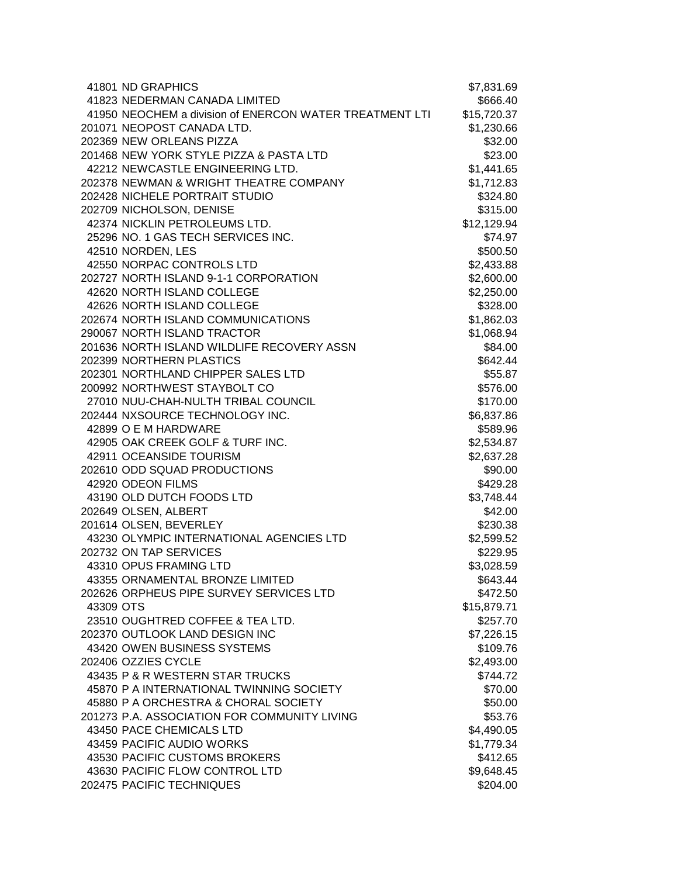|           | 41801 ND GRAPHICS                                       | \$7,831.69  |
|-----------|---------------------------------------------------------|-------------|
|           | 41823 NEDERMAN CANADA LIMITED                           | \$666.40    |
|           | 41950 NEOCHEM a division of ENERCON WATER TREATMENT LTI | \$15,720.37 |
|           | 201071 NEOPOST CANADA LTD.                              | \$1,230.66  |
|           | 202369 NEW ORLEANS PIZZA                                | \$32.00     |
|           | 201468 NEW YORK STYLE PIZZA & PASTA LTD                 | \$23.00     |
|           | 42212 NEWCASTLE ENGINEERING LTD.                        | \$1,441.65  |
|           | 202378 NEWMAN & WRIGHT THEATRE COMPANY                  | \$1,712.83  |
|           | 202428 NICHELE PORTRAIT STUDIO                          | \$324.80    |
|           | 202709 NICHOLSON, DENISE                                | \$315.00    |
|           | 42374 NICKLIN PETROLEUMS LTD.                           | \$12,129.94 |
|           | 25296 NO. 1 GAS TECH SERVICES INC.                      | \$74.97     |
|           | 42510 NORDEN, LES                                       | \$500.50    |
|           | 42550 NORPAC CONTROLS LTD                               | \$2,433.88  |
|           | 202727 NORTH ISLAND 9-1-1 CORPORATION                   | \$2,600.00  |
|           | 42620 NORTH ISLAND COLLEGE                              | \$2,250.00  |
|           | 42626 NORTH ISLAND COLLEGE                              | \$328.00    |
|           | 202674 NORTH ISLAND COMMUNICATIONS                      | \$1,862.03  |
|           | 290067 NORTH ISLAND TRACTOR                             | \$1,068.94  |
|           | 201636 NORTH ISLAND WILDLIFE RECOVERY ASSN              | \$84.00     |
|           | 202399 NORTHERN PLASTICS                                | \$642.44    |
|           | 202301 NORTHLAND CHIPPER SALES LTD                      | \$55.87     |
|           | 200992 NORTHWEST STAYBOLT CO                            | \$576.00    |
|           | 27010 NUU-CHAH-NULTH TRIBAL COUNCIL                     | \$170.00    |
|           | 202444 NXSOURCE TECHNOLOGY INC.                         | \$6,837.86  |
|           | 42899 O E M HARDWARE                                    | \$589.96    |
|           | 42905 OAK CREEK GOLF & TURF INC.                        | \$2,534.87  |
|           | 42911 OCEANSIDE TOURISM                                 | \$2,637.28  |
|           | 202610 ODD SQUAD PRODUCTIONS                            | \$90.00     |
|           | 42920 ODEON FILMS                                       | \$429.28    |
|           | 43190 OLD DUTCH FOODS LTD                               | \$3,748.44  |
|           | 202649 OLSEN, ALBERT                                    | \$42.00     |
|           | 201614 OLSEN, BEVERLEY                                  | \$230.38    |
|           | 43230 OLYMPIC INTERNATIONAL AGENCIES LTD                | \$2,599.52  |
|           | 202732 ON TAP SERVICES                                  | \$229.95    |
|           | 43310 OPUS FRAMING LTD                                  | \$3,028.59  |
|           | 43355 ORNAMENTAL BRONZE LIMITED                         | \$643.44    |
|           | 202626 ORPHEUS PIPE SURVEY SERVICES LTD                 | \$472.50    |
| 43309 OTS |                                                         | \$15,879.71 |
|           | 23510 OUGHTRED COFFEE & TEA LTD.                        | \$257.70    |
|           | 202370 OUTLOOK LAND DESIGN INC                          | \$7,226.15  |
|           | 43420 OWEN BUSINESS SYSTEMS                             | \$109.76    |
|           | 202406 OZZIES CYCLE                                     | \$2,493.00  |
|           | 43435 P & R WESTERN STAR TRUCKS                         | \$744.72    |
|           | 45870 P A INTERNATIONAL TWINNING SOCIETY                | \$70.00     |
|           | 45880 P A ORCHESTRA & CHORAL SOCIETY                    | \$50.00     |
|           | 201273 P.A. ASSOCIATION FOR COMMUNITY LIVING            | \$53.76     |
|           | 43450 PACE CHEMICALS LTD                                | \$4,490.05  |
|           | 43459 PACIFIC AUDIO WORKS                               | \$1,779.34  |
|           | 43530 PACIFIC CUSTOMS BROKERS                           | \$412.65    |
|           | 43630 PACIFIC FLOW CONTROL LTD                          | \$9,648.45  |
|           | 202475 PACIFIC TECHNIQUES                               | \$204.00    |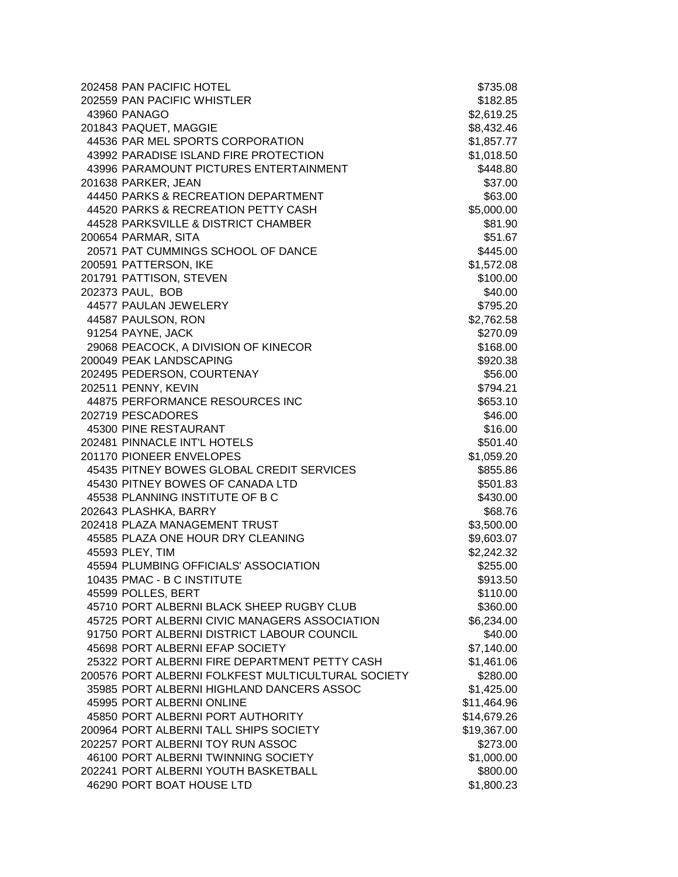| 202458 PAN PACIFIC HOTEL                           | \$735.08    |
|----------------------------------------------------|-------------|
| 202559 PAN PACIFIC WHISTLER                        | \$182.85    |
| 43960 PANAGO                                       | \$2,619.25  |
| 201843 PAQUET, MAGGIE                              | \$8,432.46  |
| 44536 PAR MEL SPORTS CORPORATION                   | \$1,857.77  |
| 43992 PARADISE ISLAND FIRE PROTECTION              | \$1,018.50  |
| 43996 PARAMOUNT PICTURES ENTERTAINMENT             | \$448.80    |
| 201638 PARKER, JEAN                                | \$37.00     |
| 44450 PARKS & RECREATION DEPARTMENT                | \$63.00     |
| 44520 PARKS & RECREATION PETTY CASH                | \$5,000.00  |
| 44528 PARKSVILLE & DISTRICT CHAMBER                | \$81.90     |
| 200654 PARMAR, SITA                                | \$51.67     |
| 20571 PAT CUMMINGS SCHOOL OF DANCE                 | \$445.00    |
| 200591 PATTERSON, IKE                              | \$1,572.08  |
| 201791 PATTISON, STEVEN                            | \$100.00    |
| 202373 PAUL, BOB                                   | \$40.00     |
| 44577 PAULAN JEWELERY                              | \$795.20    |
| 44587 PAULSON, RON                                 | \$2,762.58  |
| 91254 PAYNE, JACK                                  | \$270.09    |
| 29068 PEACOCK, A DIVISION OF KINECOR               | \$168.00    |
| 200049 PEAK LANDSCAPING                            | \$920.38    |
| 202495 PEDERSON, COURTENAY                         | \$56.00     |
| 202511 PENNY, KEVIN                                | \$794.21    |
| 44875 PERFORMANCE RESOURCES INC                    | \$653.10    |
| 202719 PESCADORES                                  | \$46.00     |
| 45300 PINE RESTAURANT                              | \$16.00     |
| 202481 PINNACLE INT'L HOTELS                       | \$501.40    |
| 201170 PIONEER ENVELOPES                           | \$1,059.20  |
| 45435 PITNEY BOWES GLOBAL CREDIT SERVICES          | \$855.86    |
| 45430 PITNEY BOWES OF CANADA LTD                   | \$501.83    |
| 45538 PLANNING INSTITUTE OF B C                    | \$430.00    |
| 202643 PLASHKA, BARRY                              | \$68.76     |
| 202418 PLAZA MANAGEMENT TRUST                      | \$3,500.00  |
| 45585 PLAZA ONE HOUR DRY CLEANING                  | \$9,603.07  |
| 45593 PLEY, TIM                                    | \$2,242.32  |
| 45594 PLUMBING OFFICIALS' ASSOCIATION              | \$255.00    |
| 10435 PMAC - B C INSTITUTE                         | \$913.50    |
| 45599 POLLES, BERT                                 | \$110.00    |
| 45710 PORT ALBERNI BLACK SHEEP RUGBY CLUB          | \$360.00    |
| 45725 PORT ALBERNI CIVIC MANAGERS ASSOCIATION      | \$6,234.00  |
| 91750 PORT ALBERNI DISTRICT LABOUR COUNCIL         | \$40.00     |
| 45698 PORT ALBERNI EFAP SOCIETY                    | \$7,140.00  |
| 25322 PORT ALBERNI FIRE DEPARTMENT PETTY CASH      | \$1,461.06  |
| 200576 PORT ALBERNI FOLKFEST MULTICULTURAL SOCIETY | \$280.00    |
| 35985 PORT ALBERNI HIGHLAND DANCERS ASSOC          | \$1,425.00  |
| 45995 PORT ALBERNI ONLINE                          | \$11,464.96 |
| 45850 PORT ALBERNI PORT AUTHORITY                  | \$14,679.26 |
| 200964 PORT ALBERNI TALL SHIPS SOCIETY             | \$19,367.00 |
| 202257 PORT ALBERNI TOY RUN ASSOC                  | \$273.00    |
| 46100 PORT ALBERNI TWINNING SOCIETY                | \$1,000.00  |
| 202241 PORT ALBERNI YOUTH BASKETBALL               | \$800.00    |
| 46290 PORT BOAT HOUSE LTD                          | \$1,800.23  |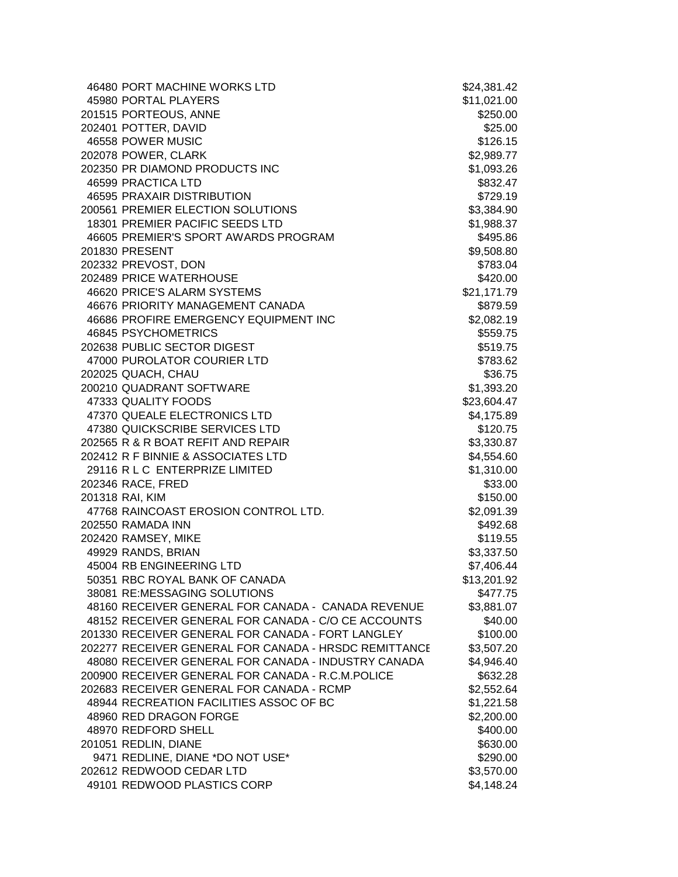| 46480 PORT MACHINE WORKS LTD                          | \$24,381.42 |
|-------------------------------------------------------|-------------|
| 45980 PORTAL PLAYERS                                  | \$11,021.00 |
| 201515 PORTEOUS, ANNE                                 | \$250.00    |
| 202401 POTTER, DAVID                                  | \$25.00     |
| 46558 POWER MUSIC                                     | \$126.15    |
| 202078 POWER, CLARK                                   | \$2,989.77  |
| 202350 PR DIAMOND PRODUCTS INC                        | \$1,093.26  |
| 46599 PRACTICA LTD                                    | \$832.47    |
| 46595 PRAXAIR DISTRIBUTION                            | \$729.19    |
| 200561 PREMIER ELECTION SOLUTIONS                     | \$3,384.90  |
| 18301 PREMIER PACIFIC SEEDS LTD                       | \$1,988.37  |
| 46605 PREMIER'S SPORT AWARDS PROGRAM                  | \$495.86    |
| 201830 PRESENT                                        | \$9,508.80  |
| 202332 PREVOST, DON                                   | \$783.04    |
| 202489 PRICE WATERHOUSE                               | \$420.00    |
| 46620 PRICE'S ALARM SYSTEMS                           | \$21,171.79 |
| 46676 PRIORITY MANAGEMENT CANADA                      | \$879.59    |
| 46686 PROFIRE EMERGENCY EQUIPMENT INC                 | \$2,082.19  |
| 46845 PSYCHOMETRICS                                   | \$559.75    |
| 202638 PUBLIC SECTOR DIGEST                           | \$519.75    |
| 47000 PUROLATOR COURIER LTD                           | \$783.62    |
| 202025 QUACH, CHAU                                    | \$36.75     |
| 200210 QUADRANT SOFTWARE                              | \$1,393.20  |
| 47333 QUALITY FOODS                                   | \$23,604.47 |
| 47370 QUEALE ELECTRONICS LTD                          | \$4,175.89  |
| 47380 QUICKSCRIBE SERVICES LTD                        | \$120.75    |
| 202565 R & R BOAT REFIT AND REPAIR                    | \$3,330.87  |
| 202412 R F BINNIE & ASSOCIATES LTD                    | \$4,554.60  |
| 29116 R L C ENTERPRIZE LIMITED                        | \$1,310.00  |
| 202346 RACE, FRED                                     | \$33.00     |
| 201318 RAI, KIM                                       | \$150.00    |
| 47768 RAINCOAST EROSION CONTROL LTD.                  | \$2,091.39  |
| 202550 RAMADA INN                                     | \$492.68    |
| 202420 RAMSEY, MIKE                                   | \$119.55    |
| 49929 RANDS, BRIAN                                    | \$3,337.50  |
| 45004 RB ENGINEERING LTD                              | \$7,406.44  |
| 50351 RBC ROYAL BANK OF CANADA                        | \$13,201.92 |
| 38081 RE:MESSAGING SOLUTIONS                          | \$477.75    |
| 48160 RECEIVER GENERAL FOR CANADA - CANADA REVENUE    | \$3,881.07  |
| 48152 RECEIVER GENERAL FOR CANADA - C/O CE ACCOUNTS   | \$40.00     |
| 201330 RECEIVER GENERAL FOR CANADA - FORT LANGLEY     | \$100.00    |
| 202277 RECEIVER GENERAL FOR CANADA - HRSDC REMITTANCE | \$3,507.20  |
| 48080 RECEIVER GENERAL FOR CANADA - INDUSTRY CANADA   | \$4,946.40  |
| 200900 RECEIVER GENERAL FOR CANADA - R.C.M.POLICE     | \$632.28    |
| 202683 RECEIVER GENERAL FOR CANADA - RCMP             | \$2,552.64  |
| 48944 RECREATION FACILITIES ASSOC OF BC               | \$1,221.58  |
| 48960 RED DRAGON FORGE                                | \$2,200.00  |
| 48970 REDFORD SHELL                                   | \$400.00    |
| 201051 REDLIN, DIANE                                  | \$630.00    |
| 9471 REDLINE, DIANE *DO NOT USE*                      | \$290.00    |
| 202612 REDWOOD CEDAR LTD                              | \$3,570.00  |
| 49101 REDWOOD PLASTICS CORP                           | \$4,148.24  |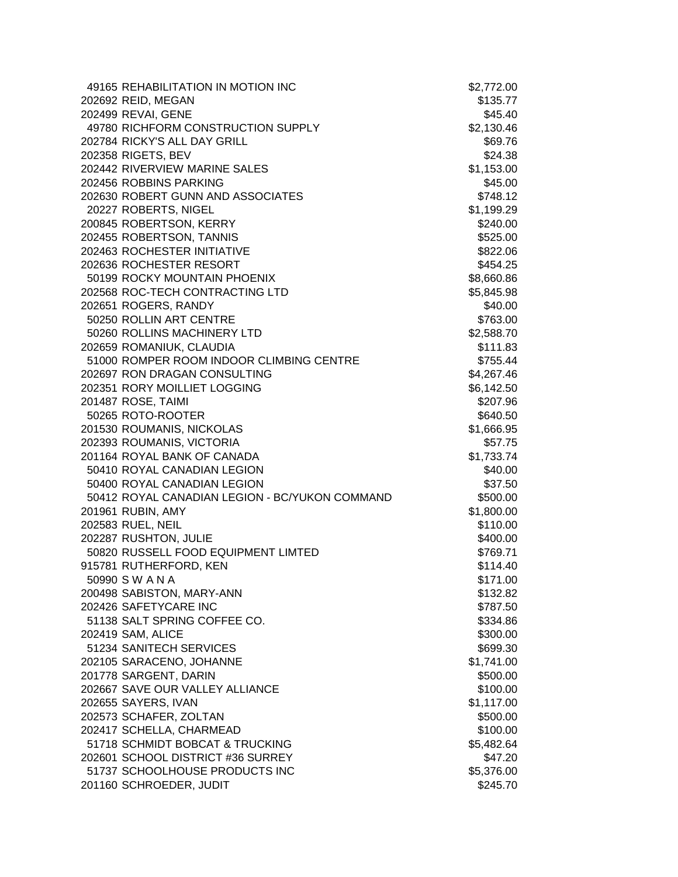| 49165 REHABILITATION IN MOTION INC             | \$2,772.00 |
|------------------------------------------------|------------|
| 202692 REID, MEGAN                             | \$135.77   |
| 202499 REVAI, GENE                             | \$45.40    |
| 49780 RICHFORM CONSTRUCTION SUPPLY             | \$2,130.46 |
| 202784 RICKY'S ALL DAY GRILL                   | \$69.76    |
| 202358 RIGETS, BEV                             | \$24.38    |
| 202442 RIVERVIEW MARINE SALES                  | \$1,153.00 |
| 202456 ROBBINS PARKING                         | \$45.00    |
| 202630 ROBERT GUNN AND ASSOCIATES              | \$748.12   |
| 20227 ROBERTS, NIGEL                           | \$1,199.29 |
| 200845 ROBERTSON, KERRY                        | \$240.00   |
| 202455 ROBERTSON, TANNIS                       | \$525.00   |
| 202463 ROCHESTER INITIATIVE                    | \$822.06   |
| 202636 ROCHESTER RESORT                        | \$454.25   |
| 50199 ROCKY MOUNTAIN PHOENIX                   | \$8,660.86 |
| 202568 ROC-TECH CONTRACTING LTD                | \$5,845.98 |
| 202651 ROGERS, RANDY                           | \$40.00    |
| 50250 ROLLIN ART CENTRE                        | \$763.00   |
| 50260 ROLLINS MACHINERY LTD                    | \$2,588.70 |
| 202659 ROMANIUK, CLAUDIA                       | \$111.83   |
| 51000 ROMPER ROOM INDOOR CLIMBING CENTRE       | \$755.44   |
| 202697 RON DRAGAN CONSULTING                   | \$4,267.46 |
| 202351 RORY MOILLIET LOGGING                   | \$6,142.50 |
| 201487 ROSE, TAIMI                             | \$207.96   |
| 50265 ROTO-ROOTER                              | \$640.50   |
| 201530 ROUMANIS, NICKOLAS                      | \$1,666.95 |
| 202393 ROUMANIS, VICTORIA                      | \$57.75    |
| 201164 ROYAL BANK OF CANADA                    | \$1,733.74 |
| 50410 ROYAL CANADIAN LEGION                    | \$40.00    |
| 50400 ROYAL CANADIAN LEGION                    | \$37.50    |
| 50412 ROYAL CANADIAN LEGION - BC/YUKON COMMAND | \$500.00   |
| 201961 RUBIN, AMY                              | \$1,800.00 |
| 202583 RUEL, NEIL                              | \$110.00   |
| 202287 RUSHTON, JULIE                          | \$400.00   |
| 50820 RUSSELL FOOD EQUIPMENT LIMTED            | \$769.71   |
| 915781 RUTHERFORD, KEN                         | \$114.40   |
| 50990 SWANA                                    | \$171.00   |
| 200498 SABISTON, MARY-ANN                      | \$132.82   |
| 202426 SAFETYCARE INC                          | \$787.50   |
| 51138 SALT SPRING COFFEE CO.                   | \$334.86   |
| 202419 SAM, ALICE                              | \$300.00   |
| 51234 SANITECH SERVICES                        | \$699.30   |
| 202105 SARACENO, JOHANNE                       | \$1,741.00 |
| 201778 SARGENT, DARIN                          | \$500.00   |
| 202667 SAVE OUR VALLEY ALLIANCE                | \$100.00   |
| 202655 SAYERS, IVAN                            | \$1,117.00 |
| 202573 SCHAFER, ZOLTAN                         | \$500.00   |
| 202417 SCHELLA, CHARMEAD                       | \$100.00   |
| 51718 SCHMIDT BOBCAT & TRUCKING                | \$5,482.64 |
| 202601 SCHOOL DISTRICT #36 SURREY              | \$47.20    |
| 51737 SCHOOLHOUSE PRODUCTS INC                 | \$5,376.00 |
| 201160 SCHROEDER, JUDIT                        | \$245.70   |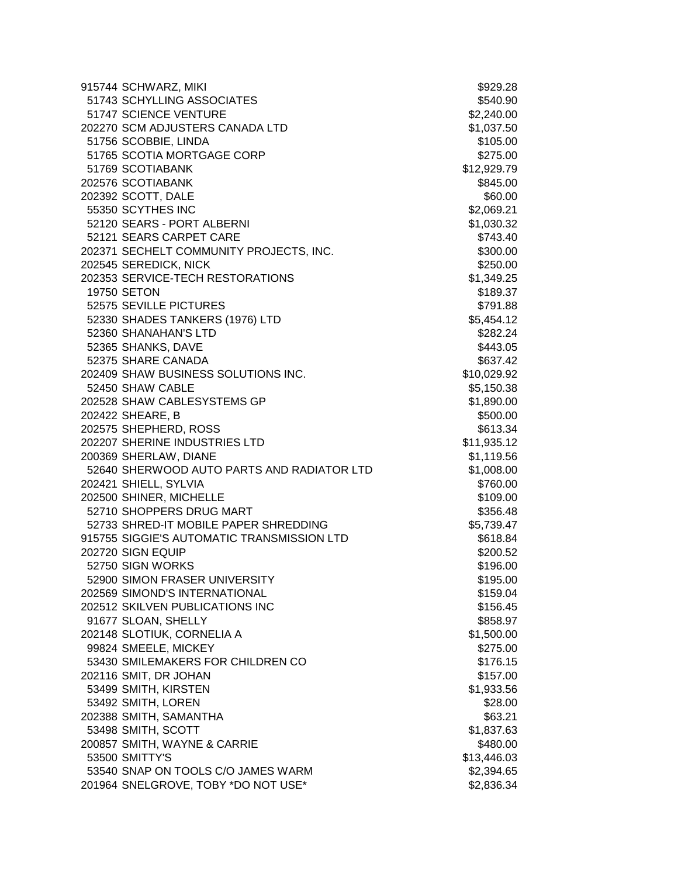| 915744 SCHWARZ, MIKI                       | \$929.28    |
|--------------------------------------------|-------------|
| 51743 SCHYLLING ASSOCIATES                 | \$540.90    |
| 51747 SCIENCE VENTURE                      | \$2,240.00  |
| 202270 SCM ADJUSTERS CANADA LTD            | \$1,037.50  |
| 51756 SCOBBIE, LINDA                       | \$105.00    |
| 51765 SCOTIA MORTGAGE CORP                 | \$275.00    |
| 51769 SCOTIABANK                           | \$12,929.79 |
| 202576 SCOTIABANK                          | \$845.00    |
| 202392 SCOTT, DALE                         | \$60.00     |
| 55350 SCYTHES INC                          | \$2,069.21  |
| 52120 SEARS - PORT ALBERNI                 | \$1,030.32  |
| 52121 SEARS CARPET CARE                    | \$743.40    |
| 202371 SECHELT COMMUNITY PROJECTS, INC.    | \$300.00    |
| 202545 SEREDICK, NICK                      | \$250.00    |
| 202353 SERVICE-TECH RESTORATIONS           | \$1,349.25  |
| 19750 SETON                                | \$189.37    |
| 52575 SEVILLE PICTURES                     | \$791.88    |
| 52330 SHADES TANKERS (1976) LTD            | \$5,454.12  |
| 52360 SHANAHAN'S LTD                       | \$282.24    |
| 52365 SHANKS, DAVE                         | \$443.05    |
| 52375 SHARE CANADA                         | \$637.42    |
| 202409 SHAW BUSINESS SOLUTIONS INC.        | \$10,029.92 |
| 52450 SHAW CABLE                           | \$5,150.38  |
| 202528 SHAW CABLESYSTEMS GP                | \$1,890.00  |
| 202422 SHEARE, B                           | \$500.00    |
| 202575 SHEPHERD, ROSS                      | \$613.34    |
| 202207 SHERINE INDUSTRIES LTD              | \$11,935.12 |
| 200369 SHERLAW, DIANE                      | \$1,119.56  |
| 52640 SHERWOOD AUTO PARTS AND RADIATOR LTD | \$1,008.00  |
| 202421 SHIELL, SYLVIA                      | \$760.00    |
| 202500 SHINER, MICHELLE                    | \$109.00    |
| 52710 SHOPPERS DRUG MART                   | \$356.48    |
| 52733 SHRED-IT MOBILE PAPER SHREDDING      | \$5,739.47  |
| 915755 SIGGIE'S AUTOMATIC TRANSMISSION LTD | \$618.84    |
| 202720 SIGN EQUIP                          | \$200.52    |
| 52750 SIGN WORKS                           | \$196.00    |
| 52900 SIMON FRASER UNIVERSITY              | \$195.00    |
| 202569 SIMOND'S INTERNATIONAL              | \$159.04    |
| 202512 SKILVEN PUBLICATIONS INC            | \$156.45    |
| 91677 SLOAN, SHELLY                        | \$858.97    |
| 202148 SLOTIUK, CORNELIA A                 | \$1,500.00  |
| 99824 SMEELE, MICKEY                       | \$275.00    |
| 53430 SMILEMAKERS FOR CHILDREN CO          | \$176.15    |
| 202116 SMIT, DR JOHAN                      | \$157.00    |
| 53499 SMITH, KIRSTEN                       | \$1,933.56  |
| 53492 SMITH, LOREN                         | \$28.00     |
| 202388 SMITH, SAMANTHA                     | \$63.21     |
| 53498 SMITH, SCOTT                         | \$1,837.63  |
| 200857 SMITH, WAYNE & CARRIE               | \$480.00    |
| 53500 SMITTY'S                             | \$13,446.03 |
| 53540 SNAP ON TOOLS C/O JAMES WARM         | \$2,394.65  |
| 201964 SNELGROVE, TOBY *DO NOT USE*        | \$2,836.34  |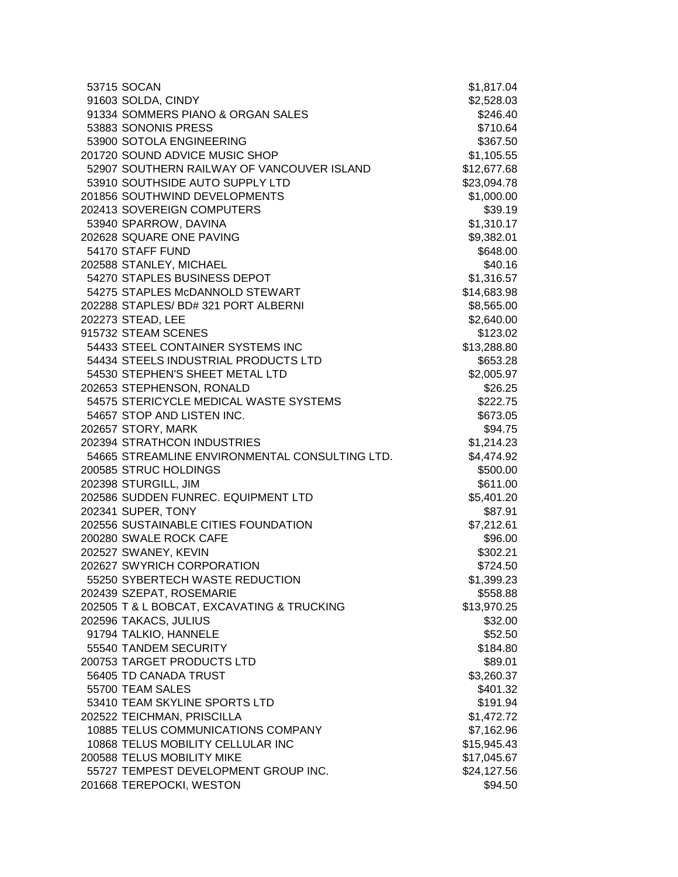| 53715 SOCAN                                    | \$1,817.04  |
|------------------------------------------------|-------------|
| 91603 SOLDA, CINDY                             | \$2,528.03  |
| 91334 SOMMERS PIANO & ORGAN SALES              | \$246.40    |
| 53883 SONONIS PRESS                            | \$710.64    |
| 53900 SOTOLA ENGINEERING                       | \$367.50    |
| 201720 SOUND ADVICE MUSIC SHOP                 | \$1,105.55  |
| 52907 SOUTHERN RAILWAY OF VANCOUVER ISLAND     | \$12,677.68 |
| 53910 SOUTHSIDE AUTO SUPPLY LTD                | \$23,094.78 |
| 201856 SOUTHWIND DEVELOPMENTS                  | \$1,000.00  |
| 202413 SOVEREIGN COMPUTERS                     | \$39.19     |
| 53940 SPARROW, DAVINA                          | \$1,310.17  |
| 202628 SQUARE ONE PAVING                       | \$9,382.01  |
| 54170 STAFF FUND                               | \$648.00    |
| 202588 STANLEY, MICHAEL                        | \$40.16     |
| 54270 STAPLES BUSINESS DEPOT                   | \$1,316.57  |
| 54275 STAPLES McDANNOLD STEWART                | \$14,683.98 |
| 202288 STAPLES/ BD# 321 PORT ALBERNI           | \$8,565.00  |
| 202273 STEAD, LEE                              | \$2,640.00  |
| 915732 STEAM SCENES                            | \$123.02    |
| 54433 STEEL CONTAINER SYSTEMS INC              | \$13,288.80 |
| 54434 STEELS INDUSTRIAL PRODUCTS LTD           | \$653.28    |
| 54530 STEPHEN'S SHEET METAL LTD                | \$2,005.97  |
| 202653 STEPHENSON, RONALD                      | \$26.25     |
| 54575 STERICYCLE MEDICAL WASTE SYSTEMS         | \$222.75    |
| 54657 STOP AND LISTEN INC.                     | \$673.05    |
| 202657 STORY, MARK                             | \$94.75     |
| 202394 STRATHCON INDUSTRIES                    | \$1,214.23  |
| 54665 STREAMLINE ENVIRONMENTAL CONSULTING LTD. | \$4,474.92  |
| 200585 STRUC HOLDINGS                          | \$500.00    |
| 202398 STURGILL, JIM                           | \$611.00    |
| 202586 SUDDEN FUNREC. EQUIPMENT LTD            | \$5,401.20  |
| 202341 SUPER, TONY                             | \$87.91     |
| 202556 SUSTAINABLE CITIES FOUNDATION           | \$7,212.61  |
| 200280 SWALE ROCK CAFE                         | \$96.00     |
| 202527 SWANEY, KEVIN                           | \$302.21    |
| 202627 SWYRICH CORPORATION                     | \$724.50    |
| 55250 SYBERTECH WASTE REDUCTION                | \$1,399.23  |
| 202439 SZEPAT, ROSEMARIE                       | \$558.88    |
| 202505 T & L BOBCAT, EXCAVATING & TRUCKING     | \$13,970.25 |
| 202596 TAKACS, JULIUS                          | \$32.00     |
| 91794 TALKIO, HANNELE                          | \$52.50     |
| 55540 TANDEM SECURITY                          | \$184.80    |
| 200753 TARGET PRODUCTS LTD                     | \$89.01     |
| 56405 TD CANADA TRUST                          | \$3,260.37  |
| 55700 TEAM SALES                               | \$401.32    |
| 53410 TEAM SKYLINE SPORTS LTD                  | \$191.94    |
| 202522 TEICHMAN, PRISCILLA                     | \$1,472.72  |
| 10885 TELUS COMMUNICATIONS COMPANY             | \$7,162.96  |
| 10868 TELUS MOBILITY CELLULAR INC              | \$15,945.43 |
| 200588 TELUS MOBILITY MIKE                     | \$17,045.67 |
| 55727 TEMPEST DEVELOPMENT GROUP INC.           | \$24,127.56 |
| 201668 TEREPOCKI, WESTON                       | \$94.50     |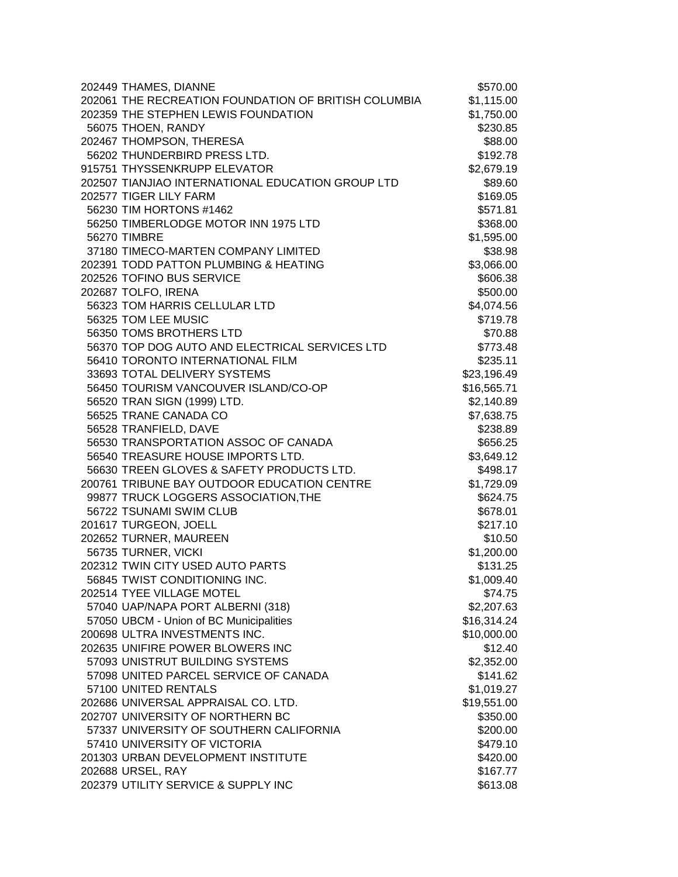| 202449 THAMES, DIANNE                                | \$570.00    |
|------------------------------------------------------|-------------|
| 202061 THE RECREATION FOUNDATION OF BRITISH COLUMBIA | \$1,115.00  |
| 202359 THE STEPHEN LEWIS FOUNDATION                  | \$1,750.00  |
| 56075 THOEN, RANDY                                   | \$230.85    |
| 202467 THOMPSON, THERESA                             | \$88.00     |
| 56202 THUNDERBIRD PRESS LTD.                         | \$192.78    |
| 915751 THYSSENKRUPP ELEVATOR                         | \$2,679.19  |
| 202507 TIANJIAO INTERNATIONAL EDUCATION GROUP LTD    | \$89.60     |
| 202577 TIGER LILY FARM                               | \$169.05    |
| 56230 TIM HORTONS #1462                              | \$571.81    |
| 56250 TIMBERLODGE MOTOR INN 1975 LTD                 | \$368.00    |
| <b>56270 TIMBRE</b>                                  | \$1,595.00  |
| 37180 TIMECO-MARTEN COMPANY LIMITED                  | \$38.98     |
| 202391 TODD PATTON PLUMBING & HEATING                | \$3,066.00  |
| 202526 TOFINO BUS SERVICE                            | \$606.38    |
| 202687 TOLFO, IRENA                                  | \$500.00    |
| 56323 TOM HARRIS CELLULAR LTD                        | \$4,074.56  |
| 56325 TOM LEE MUSIC                                  | \$719.78    |
| 56350 TOMS BROTHERS LTD                              | \$70.88     |
| 56370 TOP DOG AUTO AND ELECTRICAL SERVICES LTD       | \$773.48    |
| 56410 TORONTO INTERNATIONAL FILM                     | \$235.11    |
| 33693 TOTAL DELIVERY SYSTEMS                         | \$23,196.49 |
| 56450 TOURISM VANCOUVER ISLAND/CO-OP                 | \$16,565.71 |
| 56520 TRAN SIGN (1999) LTD.                          | \$2,140.89  |
| 56525 TRANE CANADA CO                                | \$7,638.75  |
| 56528 TRANFIELD, DAVE                                | \$238.89    |
| 56530 TRANSPORTATION ASSOC OF CANADA                 | \$656.25    |
| 56540 TREASURE HOUSE IMPORTS LTD.                    | \$3,649.12  |
| 56630 TREEN GLOVES & SAFETY PRODUCTS LTD.            | \$498.17    |
| 200761 TRIBUNE BAY OUTDOOR EDUCATION CENTRE          | \$1,729.09  |
| 99877 TRUCK LOGGERS ASSOCIATION, THE                 | \$624.75    |
| 56722 TSUNAMI SWIM CLUB                              | \$678.01    |
| 201617 TURGEON, JOELL                                | \$217.10    |
| 202652 TURNER, MAUREEN                               | \$10.50     |
| 56735 TURNER, VICKI                                  | \$1,200.00  |
| 202312 TWIN CITY USED AUTO PARTS                     | \$131.25    |
| 56845 TWIST CONDITIONING INC.                        | \$1,009.40  |
| 202514 TYEE VILLAGE MOTEL                            | \$74.75     |
| 57040 UAP/NAPA PORT ALBERNI (318)                    | \$2,207.63  |
| 57050 UBCM - Union of BC Municipalities              | \$16,314.24 |
| 200698 ULTRA INVESTMENTS INC.                        | \$10,000.00 |
| 202635 UNIFIRE POWER BLOWERS INC                     | \$12.40     |
| 57093 UNISTRUT BUILDING SYSTEMS                      | \$2,352.00  |
| 57098 UNITED PARCEL SERVICE OF CANADA                | \$141.62    |
| 57100 UNITED RENTALS                                 | \$1,019.27  |
| 202686 UNIVERSAL APPRAISAL CO. LTD.                  | \$19,551.00 |
| 202707 UNIVERSITY OF NORTHERN BC                     | \$350.00    |
| 57337 UNIVERSITY OF SOUTHERN CALIFORNIA              | \$200.00    |
| 57410 UNIVERSITY OF VICTORIA                         | \$479.10    |
| 201303 URBAN DEVELOPMENT INSTITUTE                   | \$420.00    |
| 202688 URSEL, RAY                                    | \$167.77    |
| 202379 UTILITY SERVICE & SUPPLY INC                  | \$613.08    |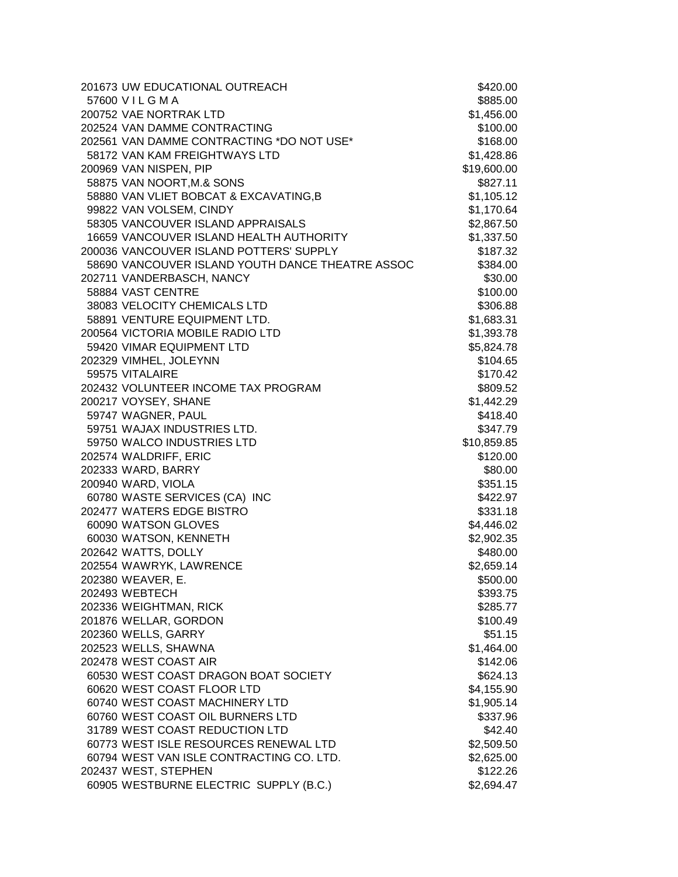| 201673 UW EDUCATIONAL OUTREACH                   | \$420.00    |
|--------------------------------------------------|-------------|
| 57600 VILGMA                                     | \$885.00    |
| 200752 VAE NORTRAK LTD                           | \$1,456.00  |
| 202524 VAN DAMME CONTRACTING                     | \$100.00    |
| 202561 VAN DAMME CONTRACTING *DO NOT USE*        | \$168.00    |
| 58172 VAN KAM FREIGHTWAYS LTD                    | \$1,428.86  |
| 200969 VAN NISPEN, PIP                           | \$19,600.00 |
| 58875 VAN NOORT, M.& SONS                        | \$827.11    |
| 58880 VAN VLIET BOBCAT & EXCAVATING, B           | \$1,105.12  |
| 99822 VAN VOLSEM, CINDY                          | \$1,170.64  |
| 58305 VANCOUVER ISLAND APPRAISALS                | \$2,867.50  |
| 16659 VANCOUVER ISLAND HEALTH AUTHORITY          | \$1,337.50  |
| 200036 VANCOUVER ISLAND POTTERS' SUPPLY          | \$187.32    |
| 58690 VANCOUVER ISLAND YOUTH DANCE THEATRE ASSOC | \$384.00    |
| 202711 VANDERBASCH, NANCY                        | \$30.00     |
| 58884 VAST CENTRE                                | \$100.00    |
| 38083 VELOCITY CHEMICALS LTD                     | \$306.88    |
| 58891 VENTURE EQUIPMENT LTD.                     | \$1,683.31  |
| 200564 VICTORIA MOBILE RADIO LTD                 | \$1,393.78  |
| 59420 VIMAR EQUIPMENT LTD                        | \$5,824.78  |
| 202329 VIMHEL, JOLEYNN                           | \$104.65    |
| 59575 VITALAIRE                                  | \$170.42    |
| 202432 VOLUNTEER INCOME TAX PROGRAM              | \$809.52    |
| 200217 VOYSEY, SHANE                             | \$1,442.29  |
| 59747 WAGNER, PAUL                               | \$418.40    |
| 59751 WAJAX INDUSTRIES LTD.                      | \$347.79    |
| 59750 WALCO INDUSTRIES LTD                       | \$10,859.85 |
| 202574 WALDRIFF, ERIC                            | \$120.00    |
| 202333 WARD, BARRY                               | \$80.00     |
| 200940 WARD, VIOLA                               | \$351.15    |
| 60780 WASTE SERVICES (CA) INC                    | \$422.97    |
| 202477 WATERS EDGE BISTRO                        | \$331.18    |
| 60090 WATSON GLOVES                              | \$4,446.02  |
| 60030 WATSON, KENNETH                            | \$2,902.35  |
| 202642 WATTS, DOLLY                              | \$480.00    |
| 202554 WAWRYK, LAWRENCE                          | \$2,659.14  |
| 202380 WEAVER, E.                                | \$500.00    |
| 202493 WEBTECH                                   | \$393.75    |
| 202336 WEIGHTMAN, RICK                           | \$285.77    |
| 201876 WELLAR, GORDON                            | \$100.49    |
| 202360 WELLS, GARRY                              | \$51.15     |
| 202523 WELLS, SHAWNA                             | \$1,464.00  |
| 202478 WEST COAST AIR                            | \$142.06    |
| 60530 WEST COAST DRAGON BOAT SOCIETY             | \$624.13    |
| 60620 WEST COAST FLOOR LTD                       | \$4,155.90  |
| 60740 WEST COAST MACHINERY LTD                   | \$1,905.14  |
| 60760 WEST COAST OIL BURNERS LTD                 | \$337.96    |
| 31789 WEST COAST REDUCTION LTD                   | \$42.40     |
| 60773 WEST ISLE RESOURCES RENEWAL LTD            | \$2,509.50  |
| 60794 WEST VAN ISLE CONTRACTING CO. LTD.         | \$2,625.00  |
| 202437 WEST, STEPHEN                             | \$122.26    |
| 60905 WESTBURNE ELECTRIC SUPPLY (B.C.)           | \$2,694.47  |
|                                                  |             |